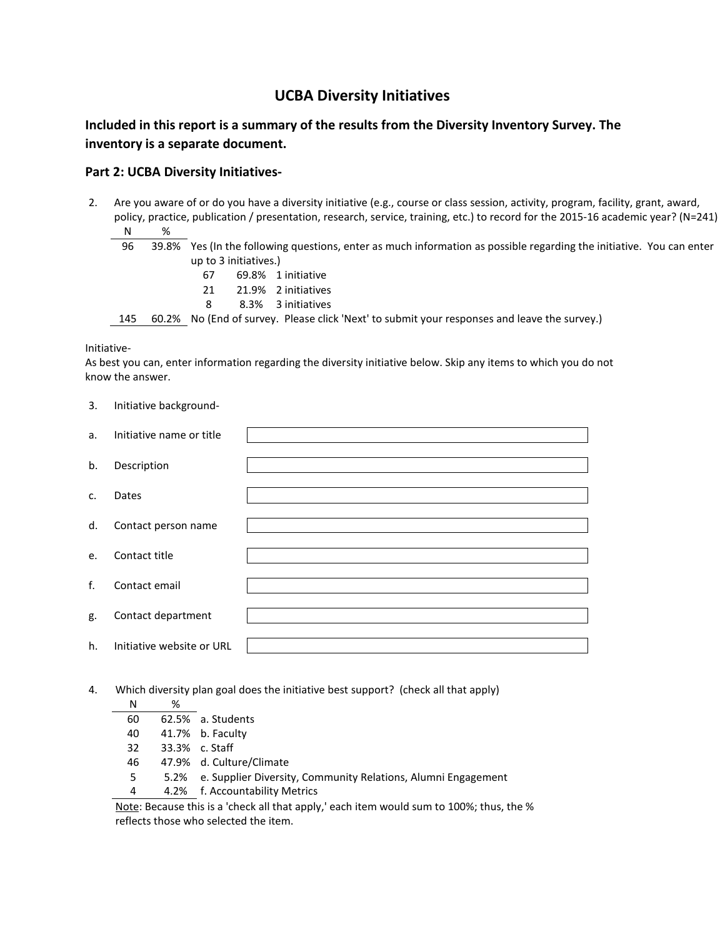## **UCBA Diversity Initiatives**

## **Included in this report is a summary of the results from the Diversity Inventory Survey. The inventory is a separate document.**

### **Part 2: UCBA Diversity Initiatives-**

- 2. Are you aware of or do you have a diversity initiative (e.g., course or class session, activity, program, facility, grant, award, policy, practice, publication / presentation, research, service, training, etc.) to record for the 2015-16 academic year? (N=241) N %
	- 96 39.8% Yes (In the following questions, enter as much information as possible regarding the initiative. You can enter up to 3 initiatives.)
		- 67 69.8% 1 initiative 21 21.9% 2 initiatives 8 8.3% 3 initiatives

145 60.2% No (End of survey. Please click 'Next' to submit your responses and leave the survey.)

#### Initiative-

3. Initiative background-

As best you can, enter information regarding the diversity initiative below. Skip any items to which you do not know the answer.

| J. | <b>ILILLIQUIVE DOCKSI UUITU-</b> |  |
|----|----------------------------------|--|
| a. | Initiative name or title         |  |
| b. | Description                      |  |
| c. | Dates                            |  |
| d. | Contact person name              |  |
| e. | Contact title                    |  |
| f. | Contact email                    |  |
| g. | Contact department               |  |
| h. | Initiative website or URL        |  |
|    |                                  |  |

4. Which diversity plan goal does the initiative best support? (check all that apply)

| N  | %    |                                                               |
|----|------|---------------------------------------------------------------|
| 60 |      | 62.5% a. Students                                             |
| 40 |      | 41.7% b. Faculty                                              |
| 32 |      | 33.3% c. Staff                                                |
| 46 |      | 47.9% d. Culture/Climate                                      |
| 5  | 5.2% | e. Supplier Diversity, Community Relations, Alumni Engagement |
| 4  |      | 4.2% f. Accountability Metrics                                |

Note: Because this is a 'check all that apply,' each item would sum to 100%; thus, the % reflects those who selected the item.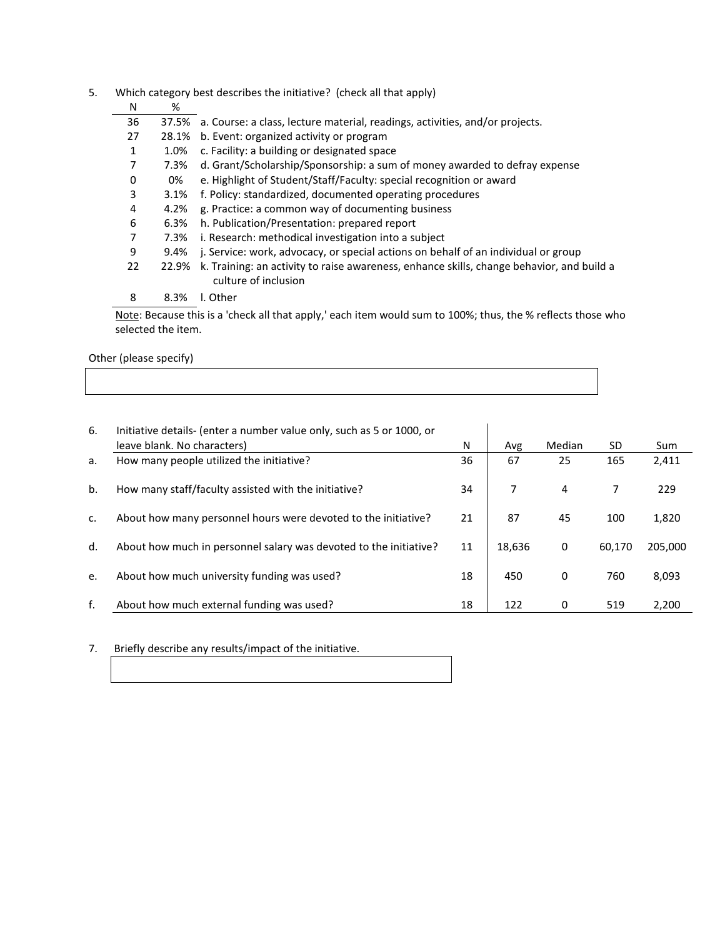| 5. | Which category best describes the initiative? (check all that apply) |       |                                                                                                                   |  |  |
|----|----------------------------------------------------------------------|-------|-------------------------------------------------------------------------------------------------------------------|--|--|
|    | N                                                                    | %     |                                                                                                                   |  |  |
|    | 36                                                                   |       | 37.5% a. Course: a class, lecture material, readings, activities, and/or projects.                                |  |  |
|    | 27                                                                   | 28.1% | b. Event: organized activity or program                                                                           |  |  |
|    | 1                                                                    | 1.0%  | c. Facility: a building or designated space                                                                       |  |  |
|    | 7                                                                    | 7.3%  | d. Grant/Scholarship/Sponsorship: a sum of money awarded to defray expense                                        |  |  |
|    | 0                                                                    | 0%    | e. Highlight of Student/Staff/Faculty: special recognition or award                                               |  |  |
|    | 3                                                                    | 3.1%  | f. Policy: standardized, documented operating procedures                                                          |  |  |
|    | 4                                                                    | 4.2%  | g. Practice: a common way of documenting business                                                                 |  |  |
|    | 6                                                                    | 6.3%  | h. Publication/Presentation: prepared report                                                                      |  |  |
|    | 7                                                                    | 7.3%  | i. Research: methodical investigation into a subject                                                              |  |  |
|    | 9                                                                    | 9.4%  | j. Service: work, advocacy, or special actions on behalf of an individual or group                                |  |  |
|    | 22                                                                   | 22.9% | k. Training: an activity to raise awareness, enhance skills, change behavior, and build a<br>culture of inclusion |  |  |
|    | 8                                                                    | 8.3%  | I. Other                                                                                                          |  |  |

Note: Because this is a 'check all that apply,' each item would sum to 100%; thus, the % reflects those who selected the item.

Other (please specify)

| 6. | Initiative details- (enter a number value only, such as 5 or 1000, or<br>leave blank. No characters) | N  | Avg    | Median | SD.    | Sum     |
|----|------------------------------------------------------------------------------------------------------|----|--------|--------|--------|---------|
| a. | How many people utilized the initiative?                                                             | 36 | 67     | 25     | 165    | 2,411   |
| b. | How many staff/faculty assisted with the initiative?                                                 | 34 |        | 4      |        | 229     |
| c. | About how many personnel hours were devoted to the initiative?                                       | 21 | 87     | 45     | 100    | 1,820   |
| d. | About how much in personnel salary was devoted to the initiative?                                    | 11 | 18,636 | 0      | 60,170 | 205,000 |
| e. | About how much university funding was used?                                                          | 18 | 450    | 0      | 760    | 8,093   |
| f. | About how much external funding was used?                                                            | 18 | 122    | 0      | 519    | 2,200   |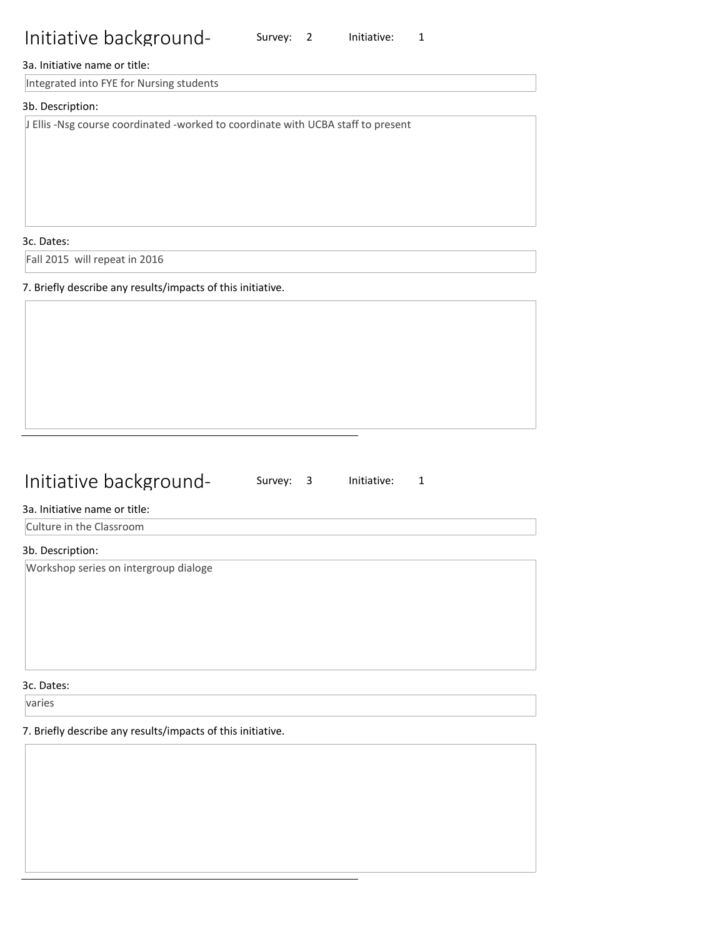Survey: 2 Initiative: 1

#### 3a. Initiative name or title:

Integrated into FYE for Nursing students

#### 3b. Description:

J Ellis -Nsg course coordinated -worked to coordinate with UCBA staff to present

3c. Dates:

Fall 2015 will repeat in 2016

7. Briefly describe any results/impacts of this initiative.

## Initiative background-

Survey: 3 Initiative: 1

#### 3a. Initiative name or title:

Culture in the Classroom

#### 3b. Description:

Workshop series on intergroup dialoge

3c. Dates:

varies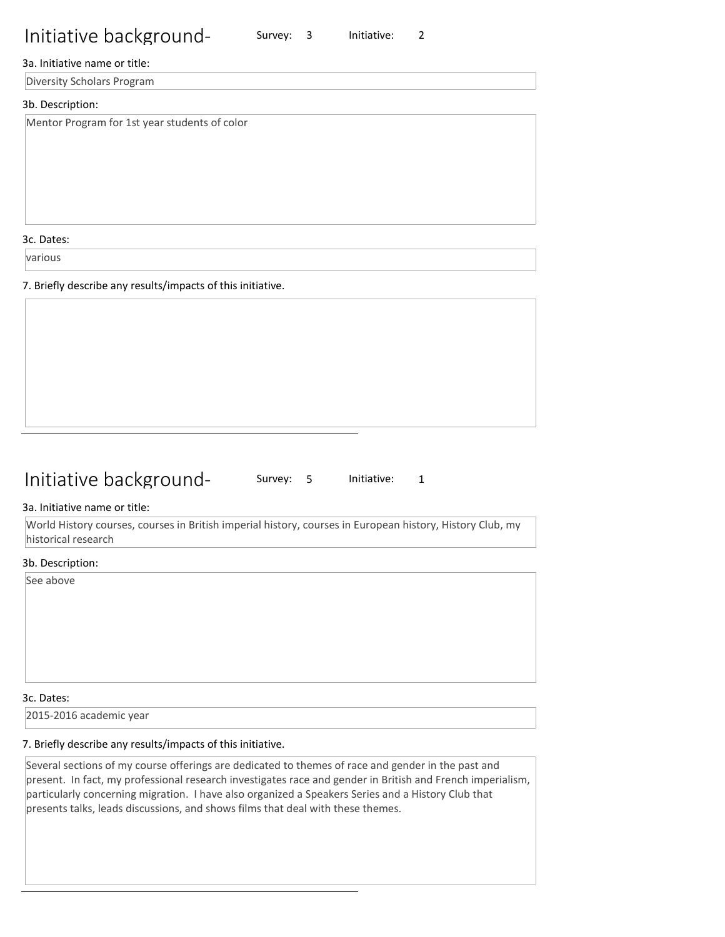Survey: 3 Initiative: 2

#### 3a. Initiative name or title:

Diversity Scholars Program

#### 3b. Description:

Mentor Program for 1st year students of color

3c. Dates:

various

7. Briefly describe any results/impacts of this initiative.

## Initiative background-

Survey: 5 Initiative: 1

#### 3a. Initiative name or title:

World History courses, courses in British imperial history, courses in European history, History Club, my historical research

#### 3b. Description:

See above

#### 3c. Dates:

2015-2016 academic year

#### 7. Briefly describe any results/impacts of this initiative.

Several sections of my course offerings are dedicated to themes of race and gender in the past and present. In fact, my professional research investigates race and gender in British and French imperialism, particularly concerning migration. I have also organized a Speakers Series and a History Club that presents talks, leads discussions, and shows films that deal with these themes.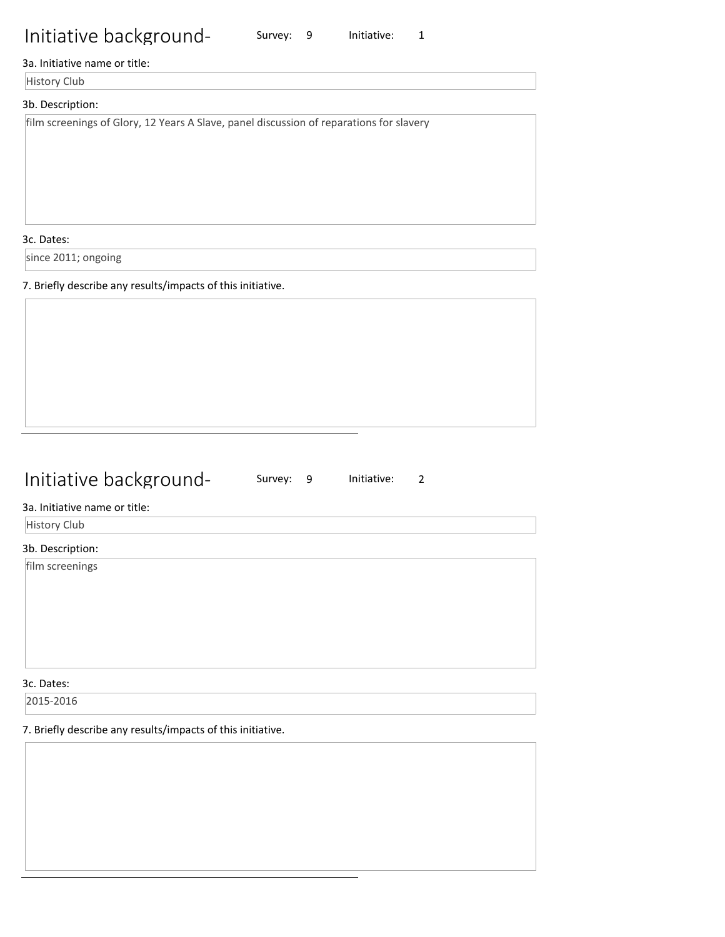## 3a. Initiative name or title:

**History Club** 

## 3b. Description:

film screenings of Glory, 12 Years A Slave, panel discussion of reparations for slavery

3c. Dates:

since 2011; ongoing

7. Briefly describe any results/impacts of this initiative.

## Initiative background-

Survey: 9 Initiative: 1

Survey: 9 Initiative: 2

### 3a. Initiative name or title:

History Club

#### 3b. Description:

film screenings

3c. Dates:

2015-2016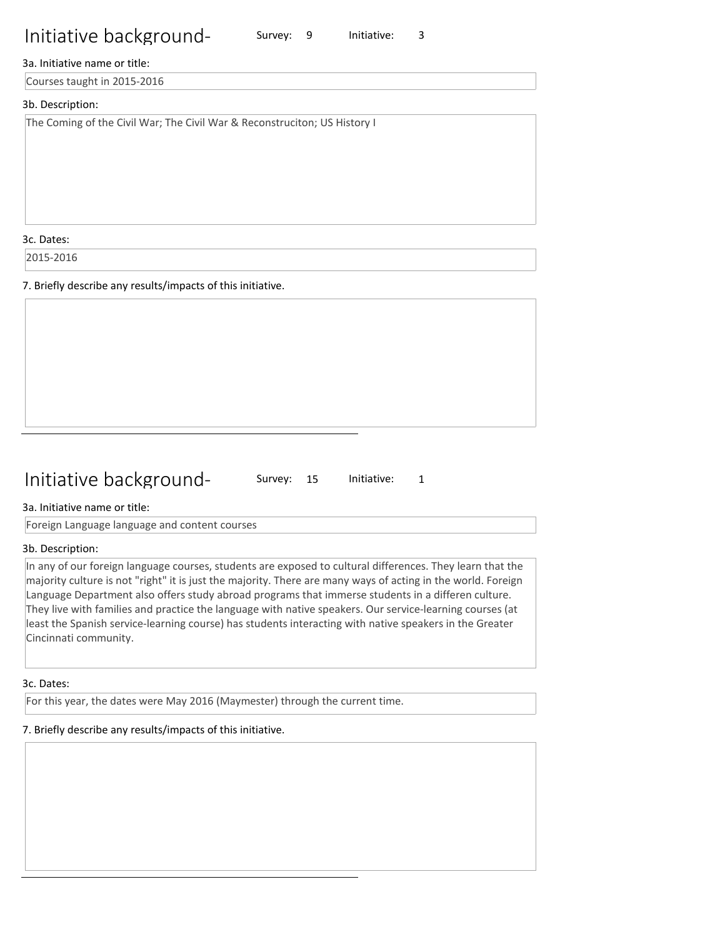#### 3a. Initiative name or title:

Courses taught in 2015-2016

#### 3b. Description:

The Coming of the Civil War; The Civil War & Reconstruciton; US History I

3c. Dates:

2015-2016

7. Briefly describe any results/impacts of this initiative.

## Initiative background-

Survey: 15 Initiative: 1

Survey: 9 Initiative: 3

3a. Initiative name or title:

Foreign Language language and content courses

#### 3b. Description:

In any of our foreign language courses, students are exposed to cultural differences. They learn that the majority culture is not "right" it is just the majority. There are many ways of acting in the world. Foreign Language Department also offers study abroad programs that immerse students in a differen culture. They live with families and practice the language with native speakers. Our service-learning courses (at least the Spanish service-learning course) has students interacting with native speakers in the Greater Cincinnati community.

3c. Dates:

For this year, the dates were May 2016 (Maymester) through the current time.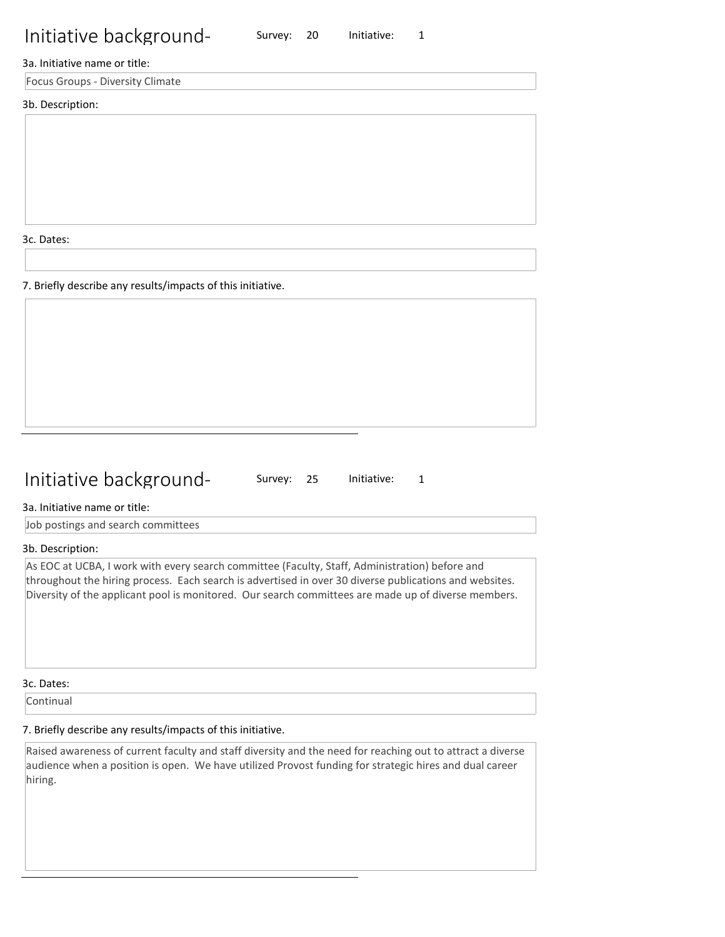3a. Initiative name or title:

Focus Groups - Diversity Climate

#### 3b. Description:

3c. Dates:

7. Briefly describe any results/impacts of this initiative.

## Initiative background-

Survey: 25 Initiative: 1

Survey: 20 Initiative: 1

3a. Initiative name or title:

Job postings and search committees

#### 3b. Description:

As EOC at UCBA, I work with every search committee (Faculty, Staff, Administration) before and throughout the hiring process. Each search is advertised in over 30 diverse publications and websites. Diversity of the applicant pool is monitored. Our search committees are made up of diverse members.

3c. Dates:

Continual

## 7. Briefly describe any results/impacts of this initiative.

Raised awareness of current faculty and staff diversity and the need for reaching out to attract a diverse audience when a position is open. We have utilized Provost funding for strategic hires and dual career hiring.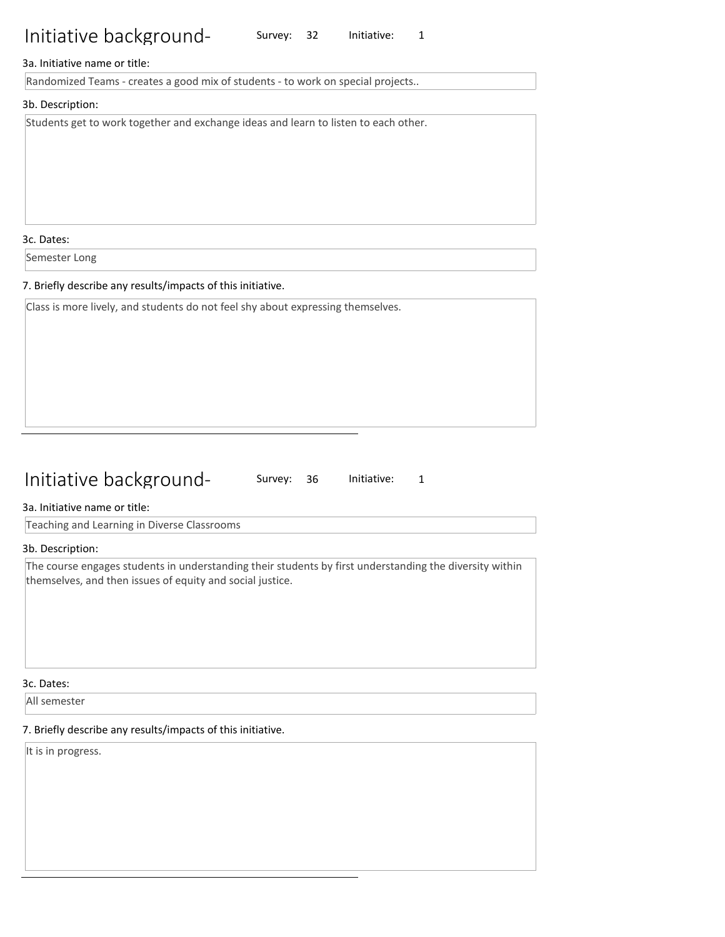Survey: 32 Initiative: 1

#### 3a. Initiative name or title:

Randomized Teams - creates a good mix of students - to work on special projects..

#### 3b. Description:

Students get to work together and exchange ideas and learn to listen to each other.

3c. Dates:

Semester Long

#### 7. Briefly describe any results/impacts of this initiative.

Class is more lively, and students do not feel shy about expressing themselves.

## Initiative background-

Survey: 36 Initiative: 1

#### 3a. Initiative name or title:

Teaching and Learning in Diverse Classrooms

#### 3b. Description:

The course engages students in understanding their students by first understanding the diversity within themselves, and then issues of equity and social justice.

#### 3c. Dates:

All semester

#### 7. Briefly describe any results/impacts of this initiative.

It is in progress.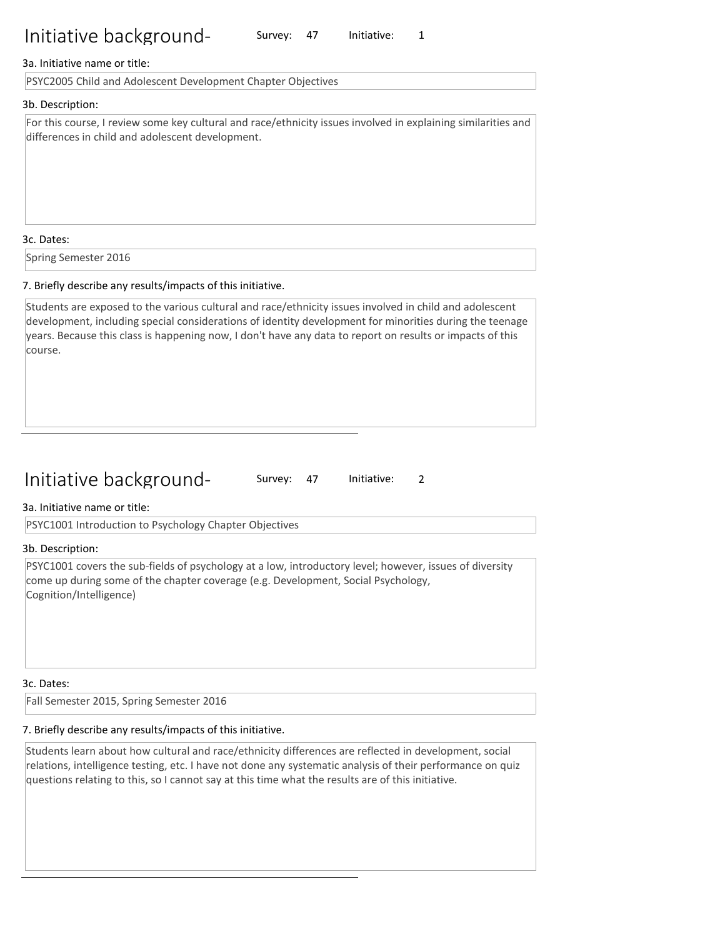Survey: 47 Initiative: 1

#### 3a. Initiative name or title:

PSYC2005 Child and Adolescent Development Chapter Objectives

#### 3b. Description:

For this course, I review some key cultural and race/ethnicity issues involved in explaining similarities and differences in child and adolescent development.

#### 3c. Dates:

Spring Semester 2016

#### 7. Briefly describe any results/impacts of this initiative.

Students are exposed to the various cultural and race/ethnicity issues involved in child and adolescent development, including special considerations of identity development for minorities during the teenage years. Because this class is happening now, I don't have any data to report on results or impacts of this course.

## Initiative background-

Survey: 47 Initiative: 2

#### 3a. Initiative name or title:

PSYC1001 Introduction to Psychology Chapter Objectives

#### 3b. Description:

PSYC1001 covers the sub-fields of psychology at a low, introductory level; however, issues of diversity come up during some of the chapter coverage (e.g. Development, Social Psychology, Cognition/Intelligence)

#### 3c. Dates:

Fall Semester 2015, Spring Semester 2016

#### 7. Briefly describe any results/impacts of this initiative.

Students learn about how cultural and race/ethnicity differences are reflected in development, social relations, intelligence testing, etc. I have not done any systematic analysis of their performance on quiz questions relating to this, so I cannot say at this time what the results are of this initiative.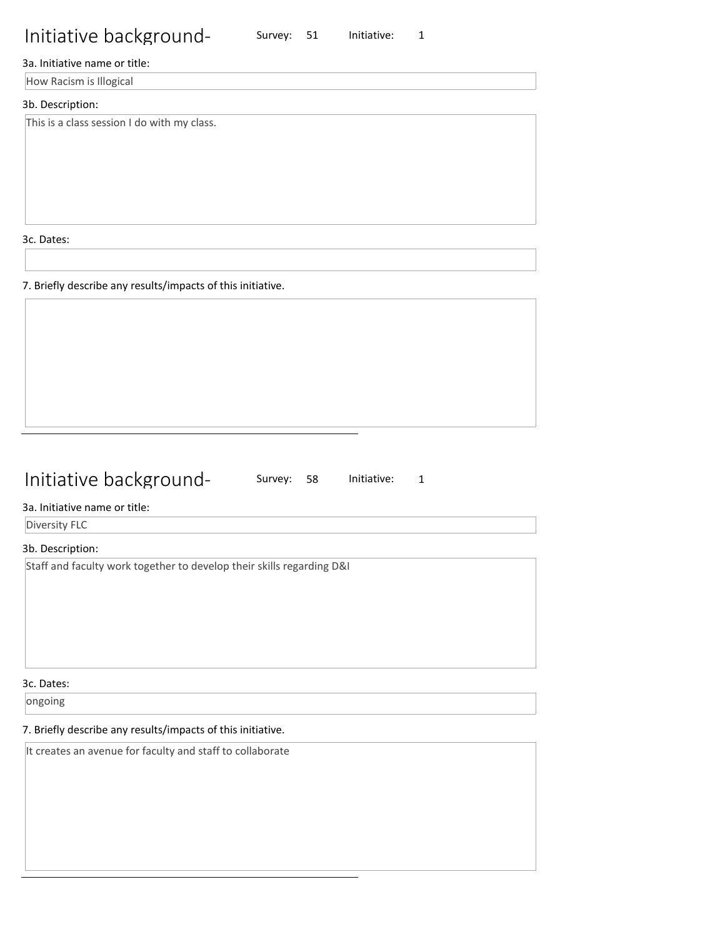Survey: 51 Initiative: 1

#### 3a. Initiative name or title:

How Racism is Illogical

#### 3b. Description:

This is a class session I do with my class.

3c. Dates:

7. Briefly describe any results/impacts of this initiative.

## Initiative background-

Survey: 58 Initiative: 1

### 3a. Initiative name or title:

Diversity FLC

### 3b. Description:

Staff and faculty work together to develop their skills regarding D&I

3c. Dates:

ongoing

### 7. Briefly describe any results/impacts of this initiative.

It creates an avenue for faculty and staff to collaborate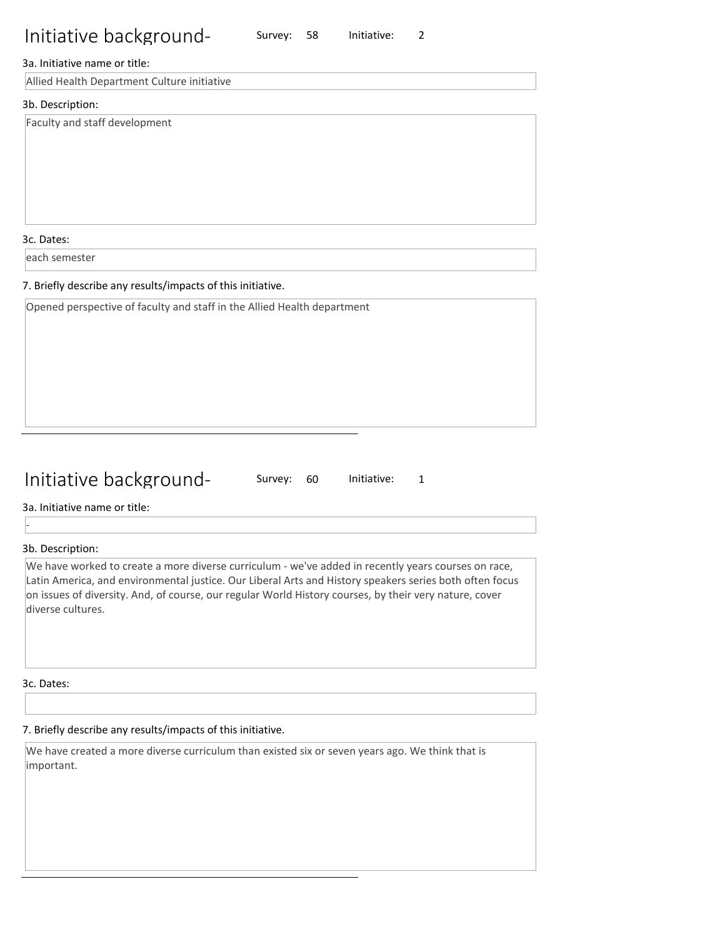Survey: 58 Initiative: 2

#### 3a. Initiative name or title:

Allied Health Department Culture initiative

#### 3b. Description:

Faculty and staff development

3c. Dates:

each semester

#### 7. Briefly describe any results/impacts of this initiative.

Opened perspective of faculty and staff in the Allied Health department

## Initiative background-

Survey: 60 Initiative: 1

3a. Initiative name or title:

3b. Description:

-

We have worked to create a more diverse curriculum - we've added in recently years courses on race, Latin America, and environmental justice. Our Liberal Arts and History speakers series both often focus on issues of diversity. And, of course, our regular World History courses, by their very nature, cover diverse cultures.

3c. Dates:

## 7. Briefly describe any results/impacts of this initiative.

We have created a more diverse curriculum than existed six or seven years ago. We think that is important.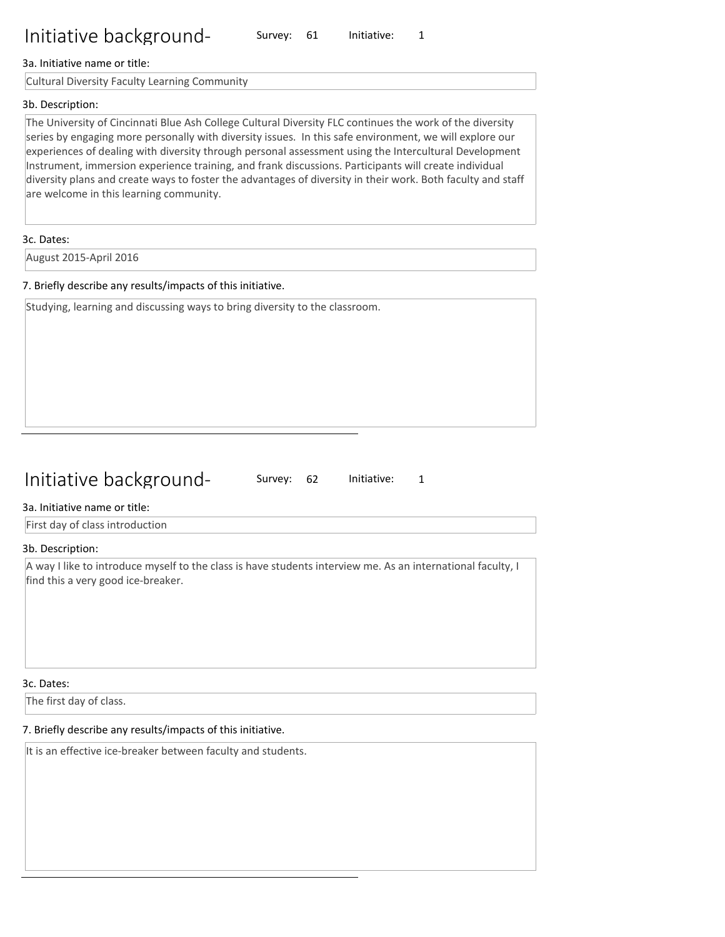#### 3a. Initiative name or title:

Cultural Diversity Faculty Learning Community

#### 3b. Description:

The University of Cincinnati Blue Ash College Cultural Diversity FLC continues the work of the diversity series by engaging more personally with diversity issues. In this safe environment, we will explore our experiences of dealing with diversity through personal assessment using the Intercultural Development Instrument, immersion experience training, and frank discussions. Participants will create individual diversity plans and create ways to foster the advantages of diversity in their work. Both faculty and staff are welcome in this learning community.

#### 3c. Dates:

August 2015-April 2016

#### 7. Briefly describe any results/impacts of this initiative.

Studying, learning and discussing ways to bring diversity to the classroom.

## Initiative background-

Survey: 62 Initiative: 1

#### 3a. Initiative name or title:

First day of class introduction

#### 3b. Description:

A way I like to introduce myself to the class is have students interview me. As an international faculty, I find this a very good ice-breaker.

#### 3c. Dates:

The first day of class.

#### 7. Briefly describe any results/impacts of this initiative.

It is an effective ice-breaker between faculty and students.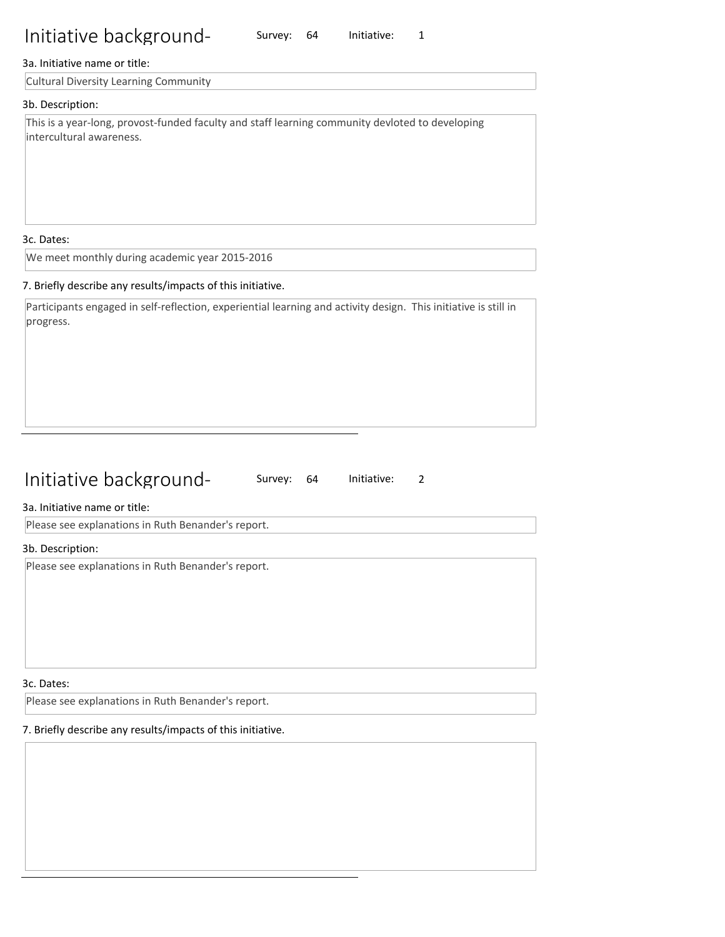#### 3a. Initiative name or title:

Cultural Diversity Learning Community

#### 3b. Description:

This is a year-long, provost-funded faculty and staff learning community devloted to developing intercultural awareness.

Survey: 64 Initiative: 1

#### 3c. Dates:

We meet monthly during academic year 2015-2016

#### 7. Briefly describe any results/impacts of this initiative.

Participants engaged in self-reflection, experiential learning and activity design. This initiative is still in progress.

## Initiative background-

Survey: 64 Initiative: 2

#### 3a. Initiative name or title:

Please see explanations in Ruth Benander's report.

#### 3b. Description:

Please see explanations in Ruth Benander's report.

#### 3c. Dates:

Please see explanations in Ruth Benander's report.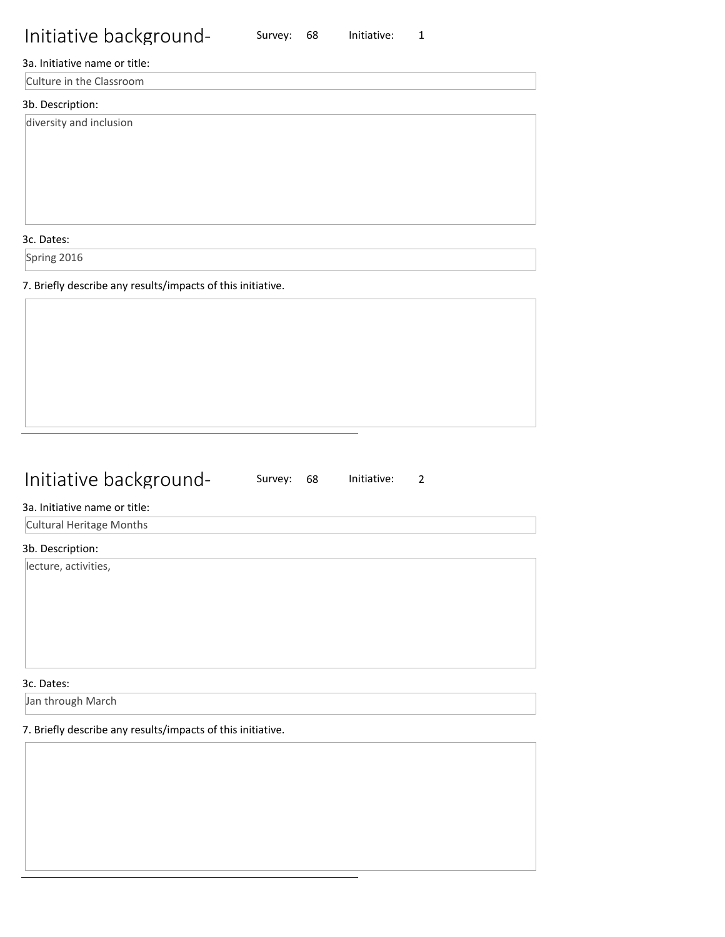Survey: 68 Initiative: 1

## 3a. Initiative name or title:

Culture in the Classroom

## 3b. Description:

diversity and inclusion

3c. Dates:

Spring 2016

7. Briefly describe any results/impacts of this initiative.

## Initiative background-

Survey: 68 Initiative: 2

### 3a. Initiative name or title:

Cultural Heritage Months

### 3b. Description:

lecture, activities,

3c. Dates:

Jan through March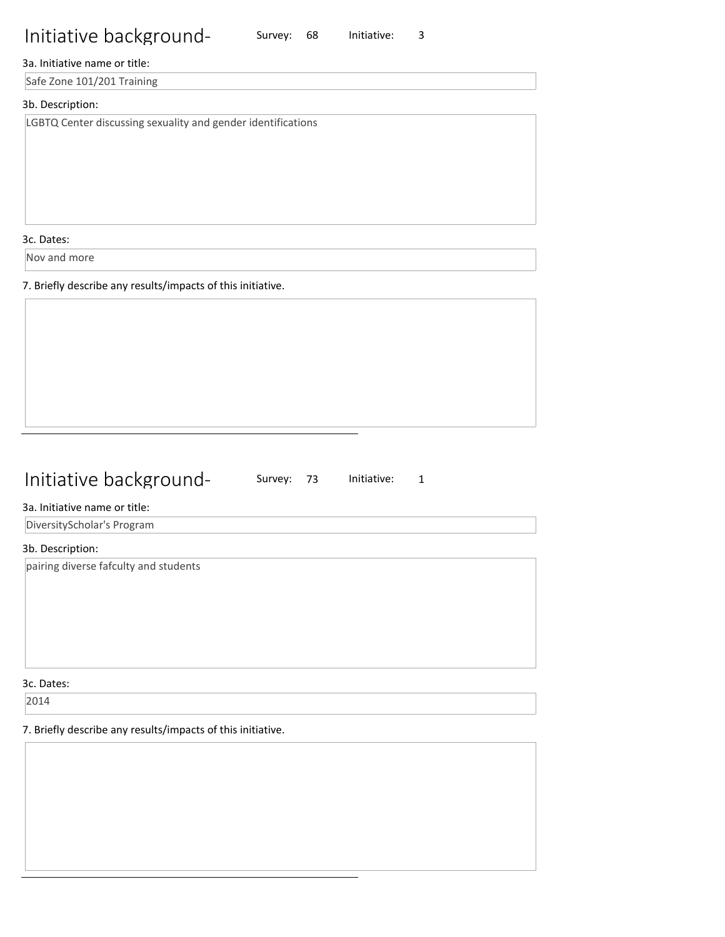## 3a. Initiative name or title:

Safe Zone 101/201 Training

#### 3b. Description:

LGBTQ Center discussing sexuality and gender identifications

3c. Dates:

Nov and more

7. Briefly describe any results/impacts of this initiative.

# Initiative background-

Survey: 68 Initiative: 3

Survey: 73 Initiative: 1

#### 3a. Initiative name or title:

DiversityScholar's Program

#### 3b. Description:

pairing diverse fafculty and students

3c. Dates:

2014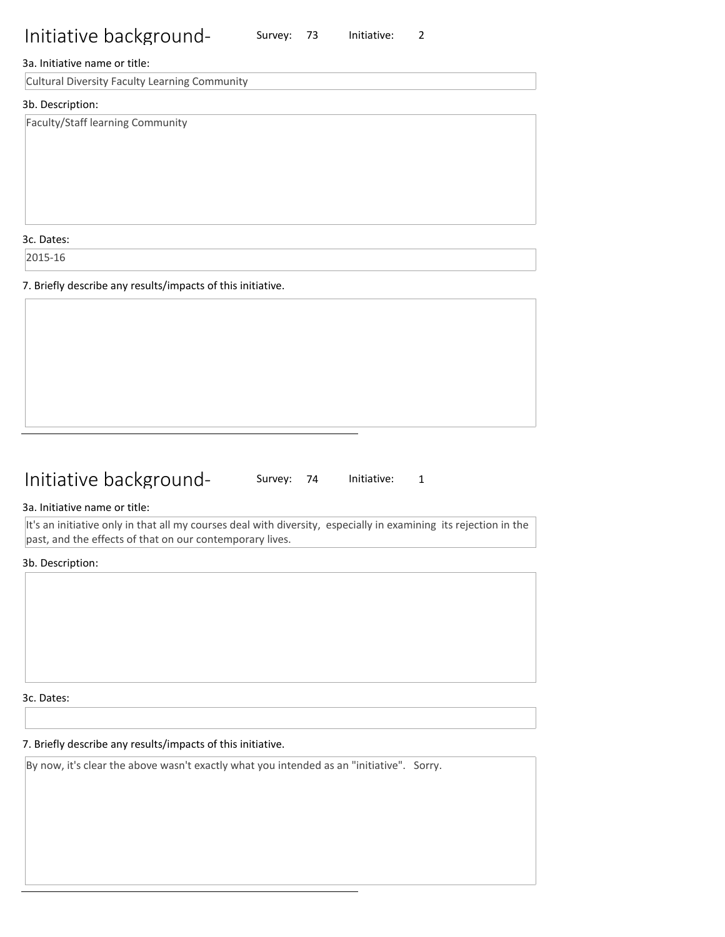Survey: 73 Initiative: 2

#### 3a. Initiative name or title:

Cultural Diversity Faculty Learning Community

#### 3b. Description:

Faculty/Staff learning Community

3c. Dates:

2015-16

7. Briefly describe any results/impacts of this initiative.

## Initiative background-

Survey: 74 Initiative: 1

#### 3a. Initiative name or title:

It's an initiative only in that all my courses deal with diversity, especially in examining its rejection in the past, and the effects of that on our contemporary lives.

#### 3b. Description:

3c. Dates:

#### 7. Briefly describe any results/impacts of this initiative.

By now, it's clear the above wasn't exactly what you intended as an "initiative". Sorry.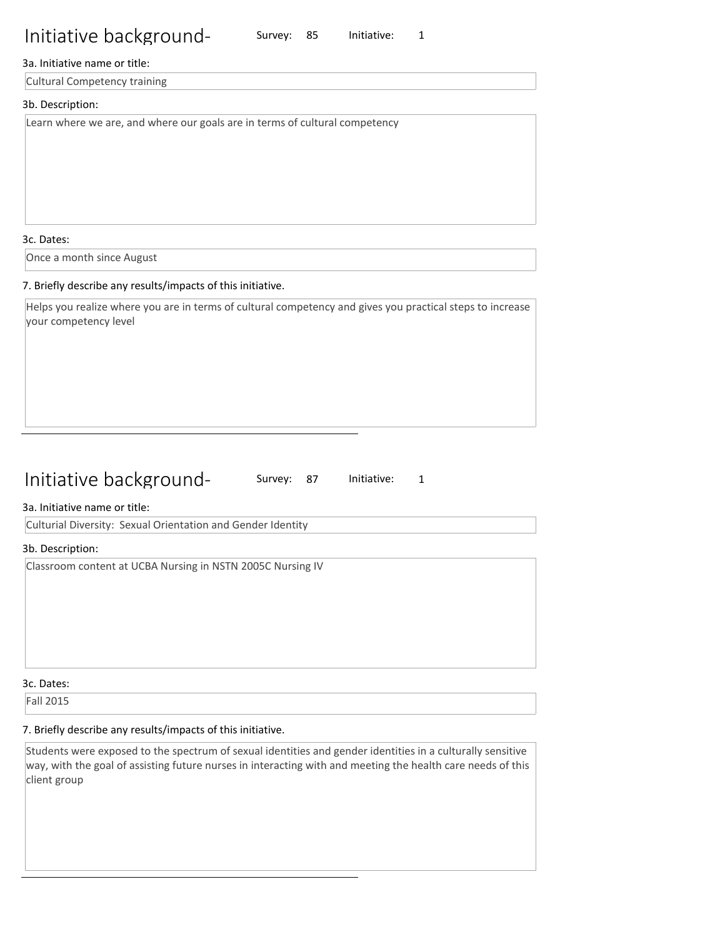## 3a. Initiative name or title:

Cultural Competency training

### 3b. Description:

Learn where we are, and where our goals are in terms of cultural competency

3c. Dates:

Once a month since August

### 7. Briefly describe any results/impacts of this initiative.

Helps you realize where you are in terms of cultural competency and gives you practical steps to increase your competency level

Survey: 85 Initiative: 1

## Initiative background-

Survey: 87 Initiative: 1

### 3a. Initiative name or title:

Culturial Diversity: Sexual Orientation and Gender Identity

### 3b. Description:

Classroom content at UCBA Nursing in NSTN 2005C Nursing IV

#### 3c. Dates:

Fall 2015

## 7. Briefly describe any results/impacts of this initiative.

Students were exposed to the spectrum of sexual identities and gender identities in a culturally sensitive way, with the goal of assisting future nurses in interacting with and meeting the health care needs of this client group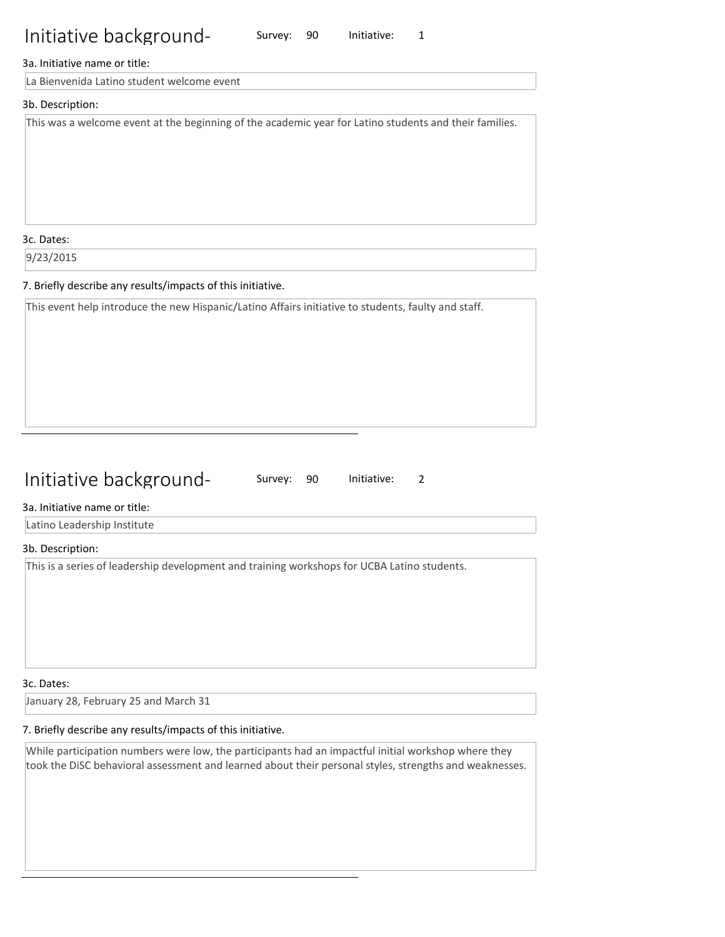### 3a. Initiative name or title:

La Bienvenida Latino student welcome event

## 3b. Description:

This was a welcome event at the beginning of the academic year for Latino students and their families.

Survey: 90 Initiative: 1

3c. Dates:

9/23/2015

### 7. Briefly describe any results/impacts of this initiative.

This event help introduce the new Hispanic/Latino Affairs initiative to students, faulty and staff.

## Initiative background-

Survey: 90 Initiative: 2

#### 3a. Initiative name or title:

Latino Leadership Institute

#### 3b. Description:

This is a series of leadership development and training workshops for UCBA Latino students.

3c. Dates:

January 28, February 25 and March 31

#### 7. Briefly describe any results/impacts of this initiative.

While participation numbers were low, the participants had an impactful initial workshop where they took the DiSC behavioral assessment and learned about their personal styles, strengths and weaknesses.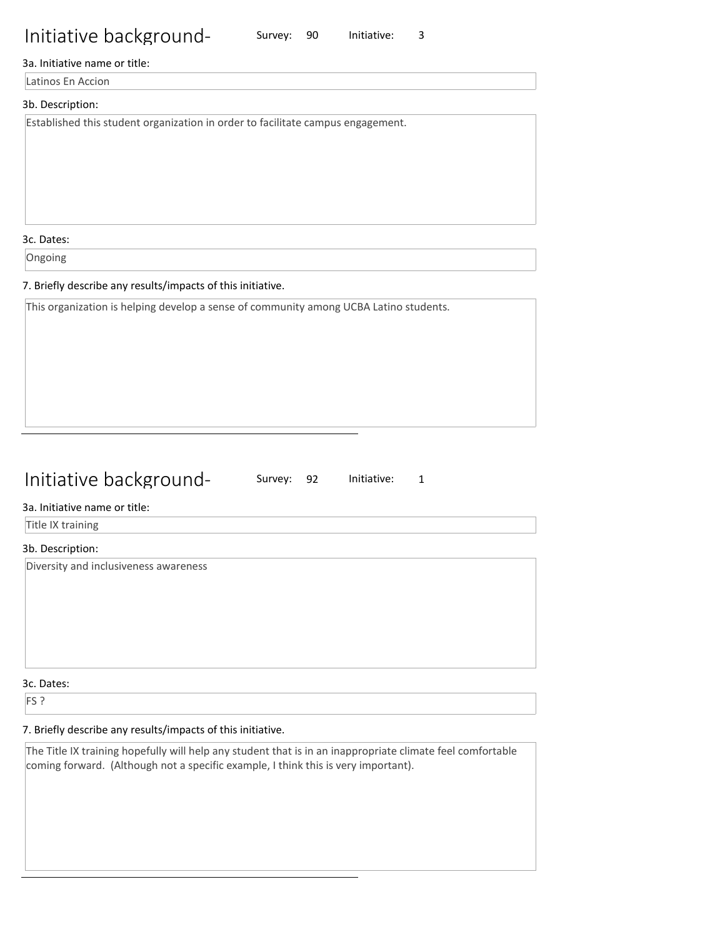## 3a. Initiative name or title:

Latinos En Accion

### 3b. Description:

Established this student organization in order to facilitate campus engagement.

3c. Dates:

Ongoing

### 7. Briefly describe any results/impacts of this initiative.

This organization is helping develop a sense of community among UCBA Latino students.

## Initiative background-

Survey: 90 Initiative: 3

Survey: 92 Initiative: 1

### 3a. Initiative name or title:

Title IX training

#### 3b. Description:

Diversity and inclusiveness awareness

3c. Dates:

FS ?

## 7. Briefly describe any results/impacts of this initiative.

The Title IX training hopefully will help any student that is in an inappropriate climate feel comfortable coming forward. (Although not a specific example, I think this is very important).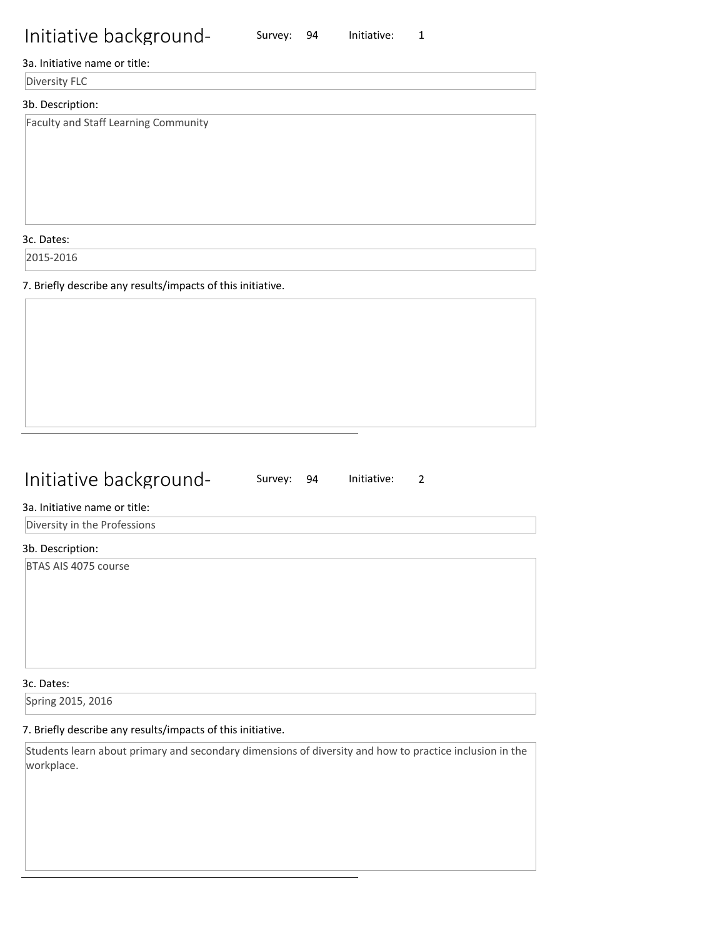## 3a. Initiative name or title:

Diversity FLC

### 3b. Description:

Faculty and Staff Learning Community

3c. Dates:

2015-2016

7. Briefly describe any results/impacts of this initiative.

## Initiative background-

Survey: 94 Initiative: 1

Survey: 94 Initiative: 2

#### 3a. Initiative name or title:

Diversity in the Professions

#### 3b. Description:

BTAS AIS 4075 course

3c. Dates:

Spring 2015, 2016

### 7. Briefly describe any results/impacts of this initiative.

Students learn about primary and secondary dimensions of diversity and how to practice inclusion in the workplace.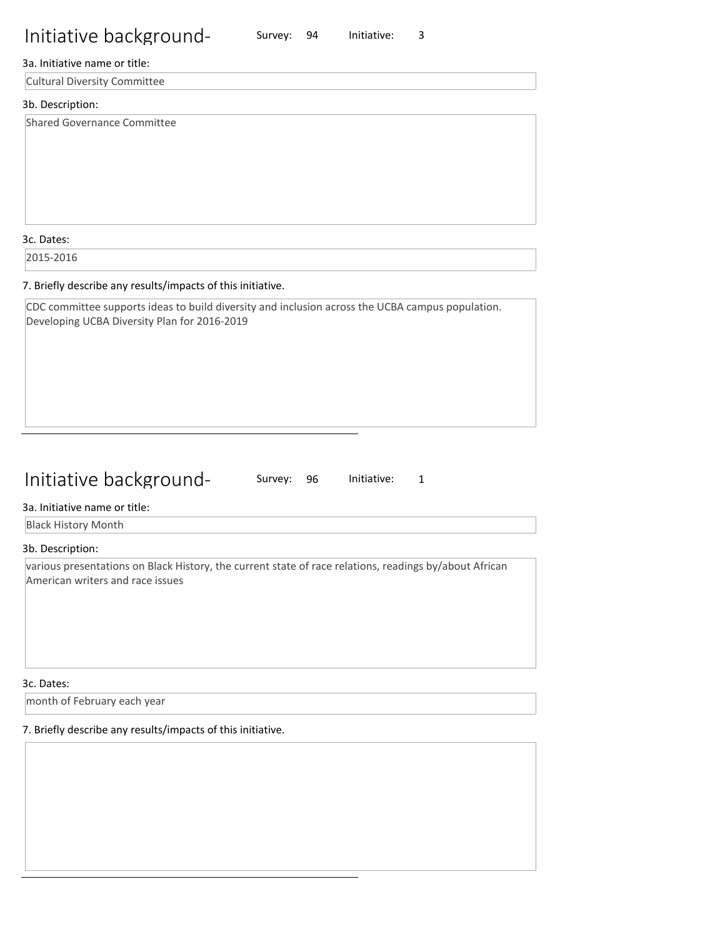### Survey: 94 Initiative: 3

#### 3a. Initiative name or title:

Cultural Diversity Committee

#### 3b. Description:

Shared Governance Committee

#### 3c. Dates:

2015-2016

#### 7. Briefly describe any results/impacts of this initiative.

CDC committee supports ideas to build diversity and inclusion across the UCBA campus population. Developing UCBA Diversity Plan for 2016-2019

## Initiative background-

Survey: 96 Initiative: 1

#### 3a. Initiative name or title:

Black History Month

#### 3b. Description:

various presentations on Black History, the current state of race relations, readings by/about African American writers and race issues

#### 3c. Dates:

month of February each year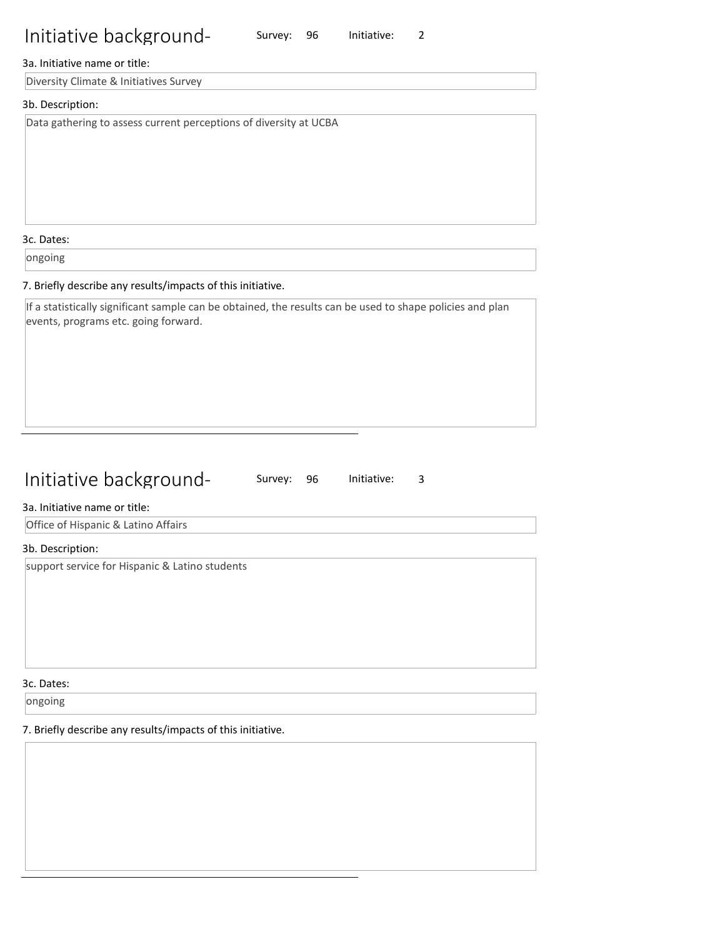#### 3a. Initiative name or title:

Diversity Climate & Initiatives Survey

#### 3b. Description:

Data gathering to assess current perceptions of diversity at UCBA

3c. Dates:

ongoing

#### 7. Briefly describe any results/impacts of this initiative.

If a statistically significant sample can be obtained, the results can be used to shape policies and plan events, programs etc. going forward.

## Initiative background-

Survey: 96 Initiative: 3

Survey: 96 Initiative: 2

#### 3a. Initiative name or title:

Office of Hispanic & Latino Affairs

#### 3b. Description:

support service for Hispanic & Latino students

3c. Dates:

ongoing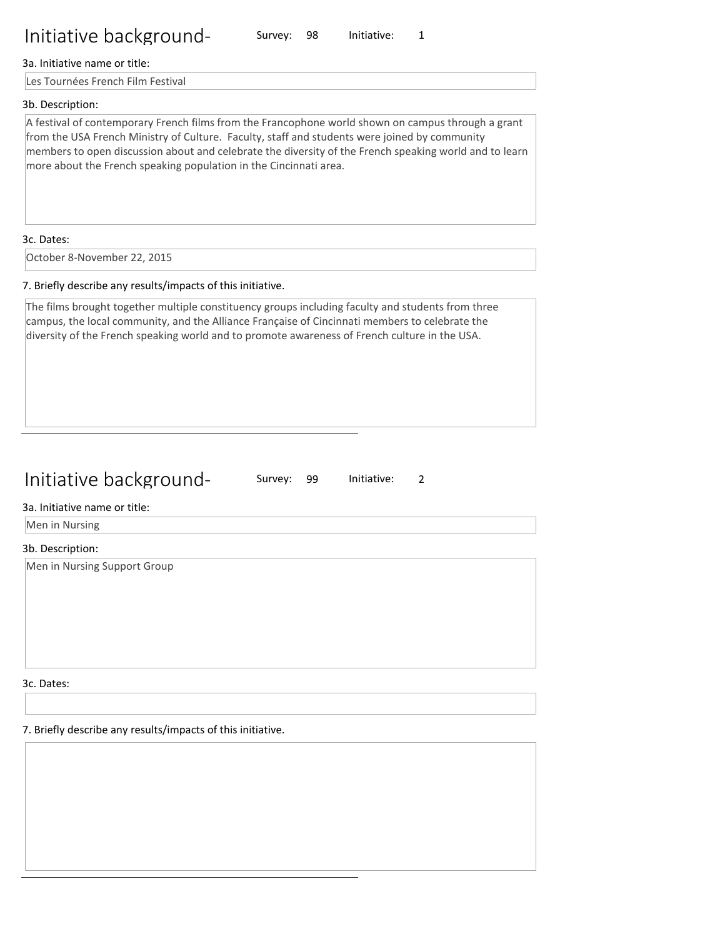#### 3a. Initiative name or title:

Les Tournées French Film Festival

#### 3b. Description:

A festival of contemporary French films from the Francophone world shown on campus through a grant from the USA French Ministry of Culture. Faculty, staff and students were joined by community members to open discussion about and celebrate the diversity of the French speaking world and to learn more about the French speaking population in the Cincinnati area.

Survey: 98 Initiative: 1

#### 3c. Dates:

October 8-November 22, 2015

#### 7. Briefly describe any results/impacts of this initiative.

The films brought together multiple constituency groups including faculty and students from three campus, the local community, and the Alliance Française of Cincinnati members to celebrate the diversity of the French speaking world and to promote awareness of French culture in the USA.

## Initiative background-

Survey: 99 Initiative: 2

### 3a. Initiative name or title:

Men in Nursing

#### 3b. Description:

Men in Nursing Support Group

3c. Dates: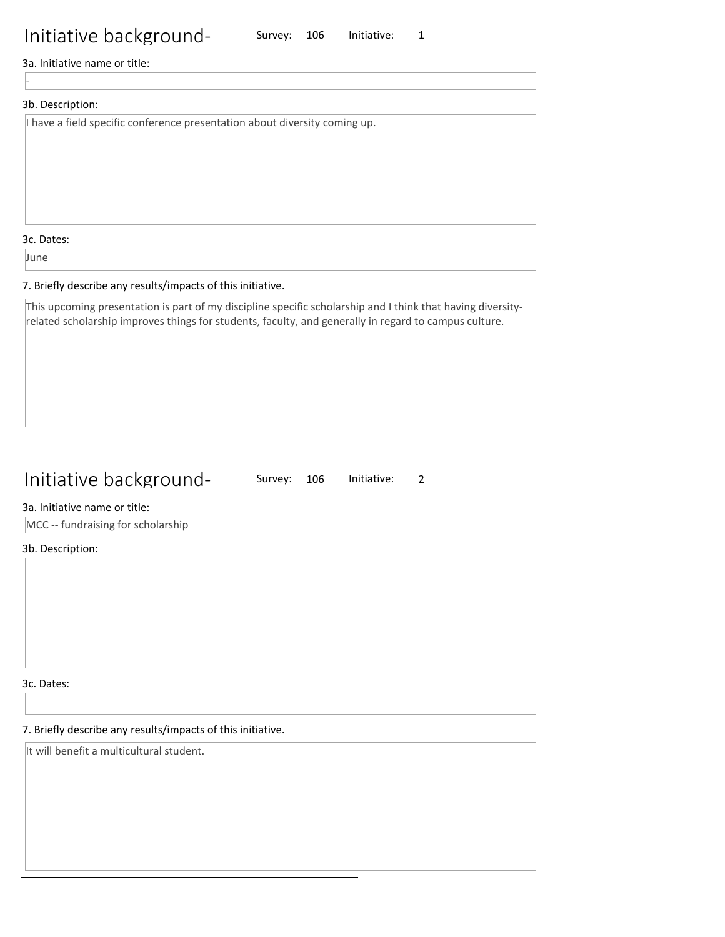3a. Initiative name or title:

## 3b. Description:

-

I have a field specific conference presentation about diversity coming up.

3c. Dates:

June

#### 7. Briefly describe any results/impacts of this initiative.

This upcoming presentation is part of my discipline specific scholarship and I think that having diversityrelated scholarship improves things for students, faculty, and generally in regard to campus culture.

## Initiative background-

Survey: 106 Initiative: 2

#### 3a. Initiative name or title:

MCC -- fundraising for scholarship

3b. Description:

3c. Dates:

### 7. Briefly describe any results/impacts of this initiative.

It will benefit a multicultural student.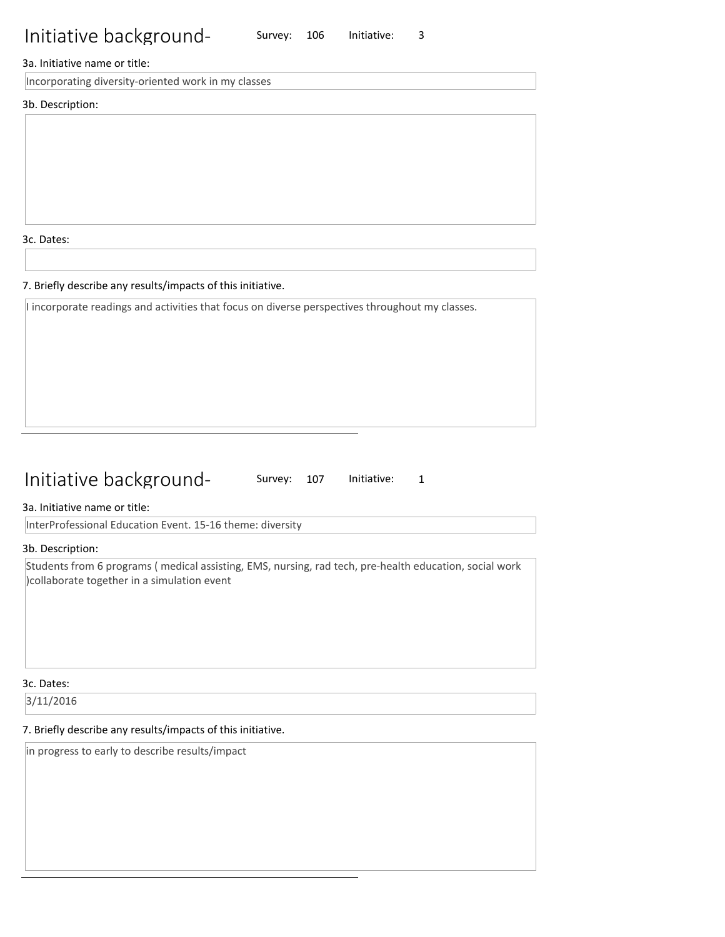### 3a. Initiative name or title:

Incorporating diversity-oriented work in my classes

3b. Description:

3c. Dates:

#### 7. Briefly describe any results/impacts of this initiative.

I incorporate readings and activities that focus on diverse perspectives throughout my classes.

## Initiative background-

Survey: 107 Initiative: 1

3a. Initiative name or title:

InterProfessional Education Event. 15-16 theme: diversity

3b. Description:

Students from 6 programs ( medical assisting, EMS, nursing, rad tech, pre-health education, social work )collaborate together in a simulation event

#### 3c. Dates:

3/11/2016

#### 7. Briefly describe any results/impacts of this initiative.

in progress to early to describe results/impact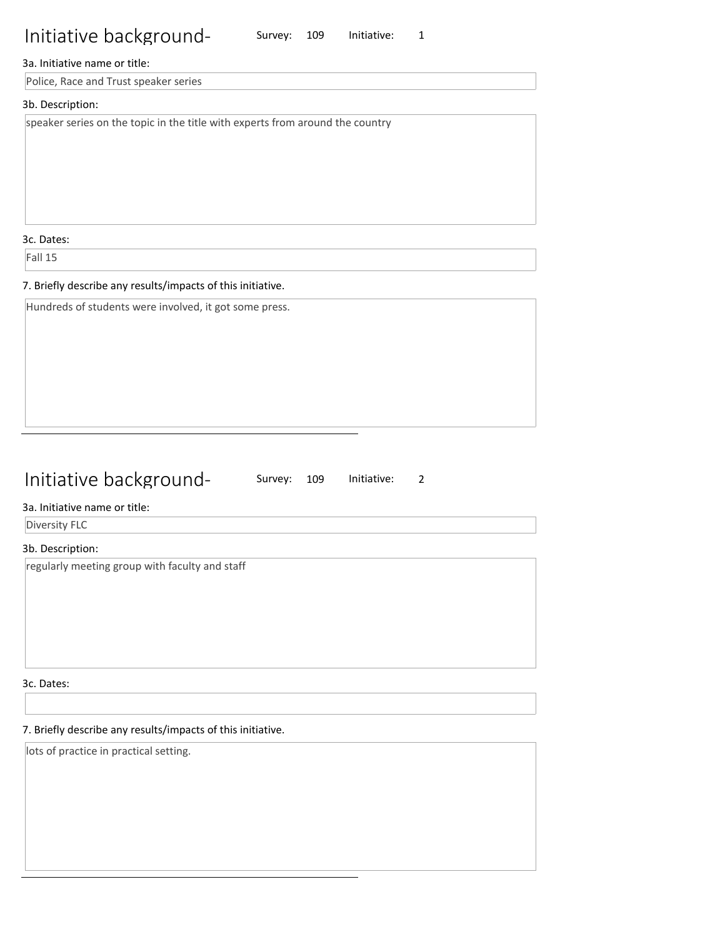### 3a. Initiative name or title:

Police, Race and Trust speaker series

## 3b. Description:

speaker series on the topic in the title with experts from around the country

3c. Dates:

Fall 15

#### 7. Briefly describe any results/impacts of this initiative.

Hundreds of students were involved, it got some press.

## Initiative background-

Survey: 109 Initiative: 2

### 3a. Initiative name or title:

Diversity FLC

### 3b. Description:

regularly meeting group with faculty and staff

3c. Dates:

## 7. Briefly describe any results/impacts of this initiative.

lots of practice in practical setting.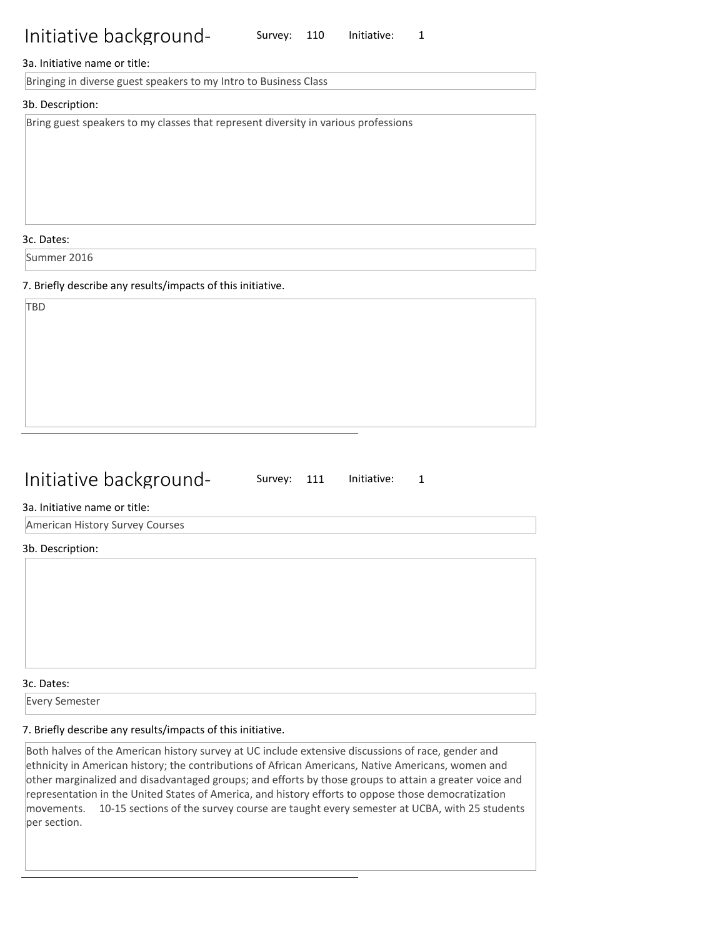Survey: 110 Initiative: 1

#### 3a. Initiative name or title:

Bringing in diverse guest speakers to my Intro to Business Class

#### 3b. Description:

Bring guest speakers to my classes that represent diversity in various professions

3c. Dates:

Summer 2016

7. Briefly describe any results/impacts of this initiative.

## Initiative background-

Survey: 111 Initiative: 1

#### 3a. Initiative name or title:

American History Survey Courses

#### 3b. Description:

3c. Dates:

Every Semester

## 7. Briefly describe any results/impacts of this initiative.

Both halves of the American history survey at UC include extensive discussions of race, gender and ethnicity in American history; the contributions of African Americans, Native Americans, women and other marginalized and disadvantaged groups; and efforts by those groups to attain a greater voice and representation in the United States of America, and history efforts to oppose those democratization movements. 10-15 sections of the survey course are taught every semester at UCBA, with 25 students per section.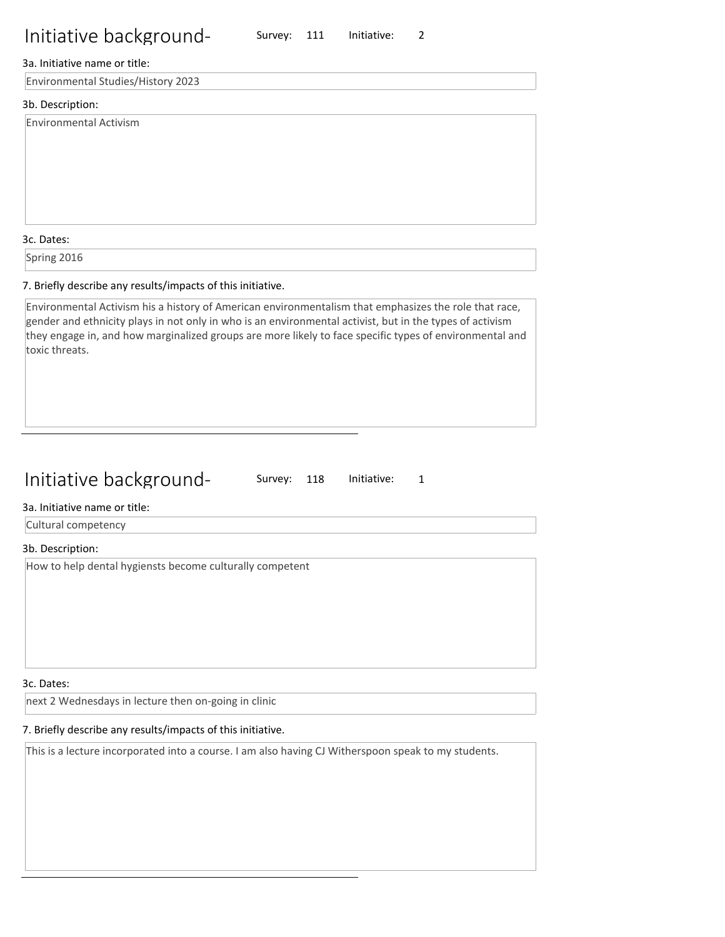Survey: 111 Initiative: 2

### 3a. Initiative name or title:

Environmental Studies/History 2023

### 3b. Description:

Environmental Activism

#### 3c. Dates:

Spring 2016

#### 7. Briefly describe any results/impacts of this initiative.

Environmental Activism his a history of American environmentalism that emphasizes the role that race, gender and ethnicity plays in not only in who is an environmental activist, but in the types of activism they engage in, and how marginalized groups are more likely to face specific types of environmental and toxic threats.

## Initiative background-

Survey: 118 Initiative: 1

#### 3a. Initiative name or title:

Cultural competency

#### 3b. Description:

How to help dental hygiensts become culturally competent

#### 3c. Dates:

next 2 Wednesdays in lecture then on-going in clinic

## 7. Briefly describe any results/impacts of this initiative.

This is a lecture incorporated into a course. I am also having CJ Witherspoon speak to my students.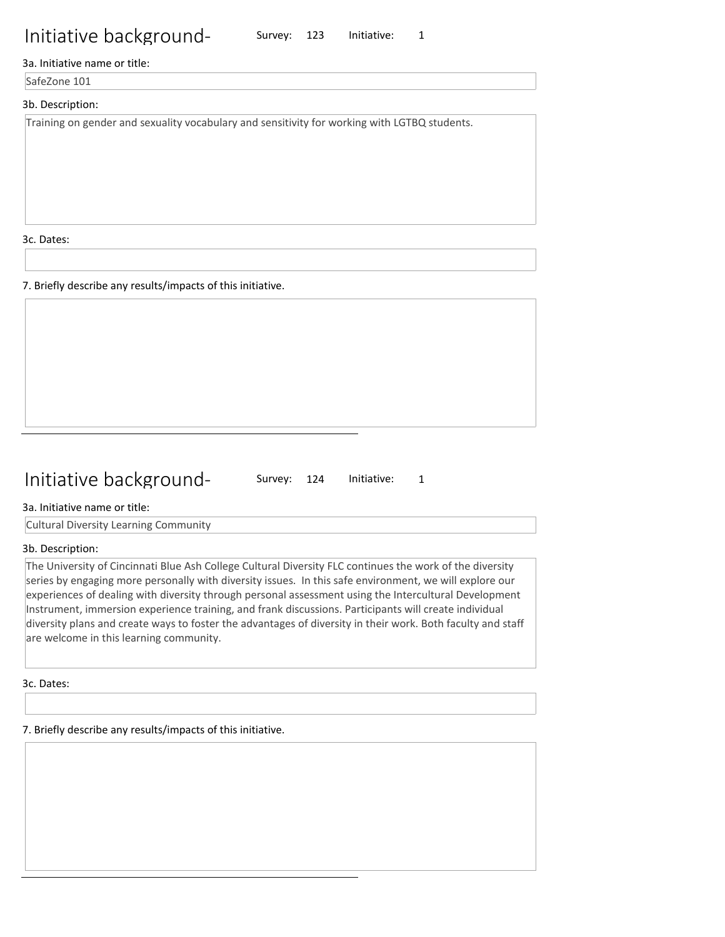3a. Initiative name or title:

SafeZone 101

## 3b. Description:

Training on gender and sexuality vocabulary and sensitivity for working with LGTBQ students.

3c. Dates:

7. Briefly describe any results/impacts of this initiative.

## Initiative background-

Survey: 124 Initiative: 1

Survey: 123 Initiative: 1

3a. Initiative name or title:

Cultural Diversity Learning Community

#### 3b. Description:

The University of Cincinnati Blue Ash College Cultural Diversity FLC continues the work of the diversity series by engaging more personally with diversity issues. In this safe environment, we will explore our experiences of dealing with diversity through personal assessment using the Intercultural Development Instrument, immersion experience training, and frank discussions. Participants will create individual diversity plans and create ways to foster the advantages of diversity in their work. Both faculty and staff are welcome in this learning community.

3c. Dates: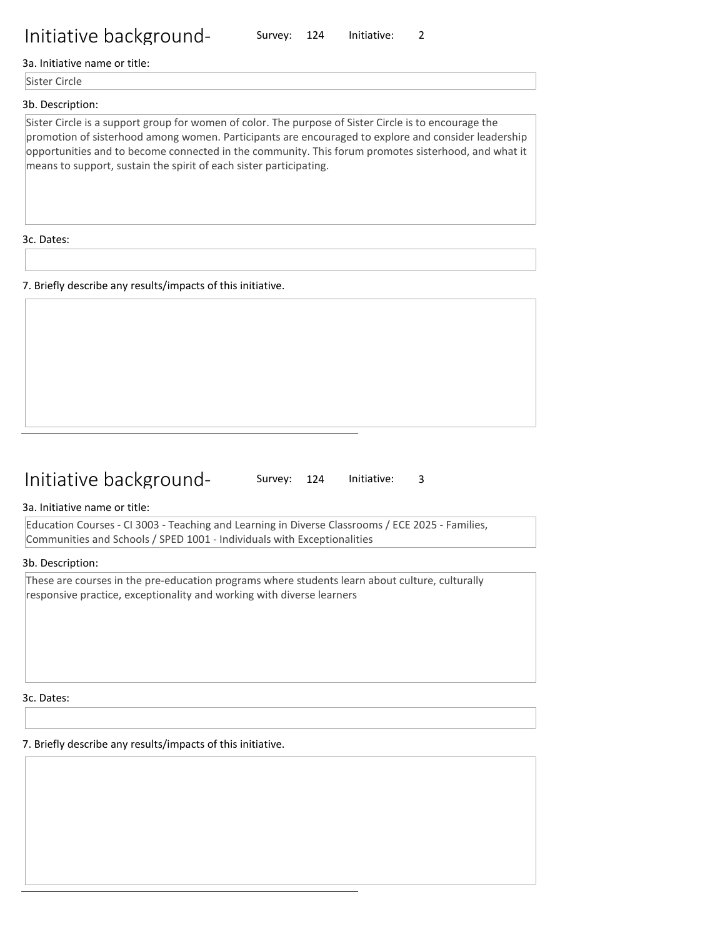3a. Initiative name or title:

Sister Circle

#### 3b. Description:

Sister Circle is a support group for women of color. The purpose of Sister Circle is to encourage the promotion of sisterhood among women. Participants are encouraged to explore and consider leadership opportunities and to become connected in the community. This forum promotes sisterhood, and what it means to support, sustain the spirit of each sister participating.

Survey: 124 Initiative: 2

3c. Dates:

7. Briefly describe any results/impacts of this initiative.

## Initiative background-

Survey: 124 Initiative: 3

3a. Initiative name or title:

Education Courses - CI 3003 - Teaching and Learning in Diverse Classrooms / ECE 2025 - Families, Communities and Schools / SPED 1001 - Individuals with Exceptionalities

#### 3b. Description:

These are courses in the pre-education programs where students learn about culture, culturally responsive practice, exceptionality and working with diverse learners

3c. Dates: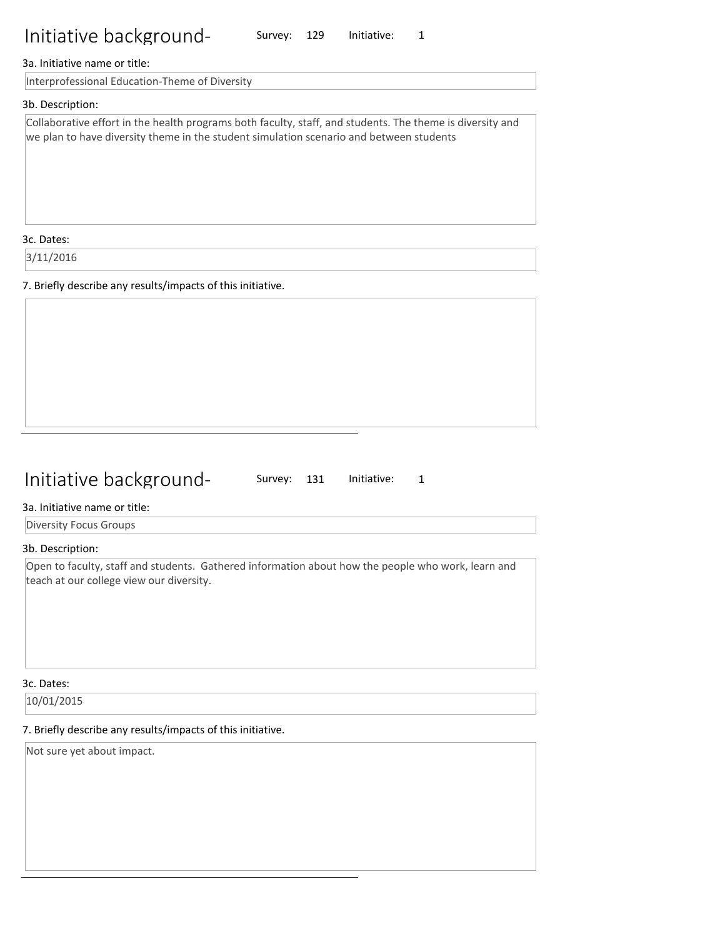Survey: 129 Initiative: 1

#### 3a. Initiative name or title:

Interprofessional Education-Theme of Diversity

#### 3b. Description:

Collaborative effort in the health programs both faculty, staff, and students. The theme is diversity and we plan to have diversity theme in the student simulation scenario and between students

3c. Dates:

3/11/2016

7. Briefly describe any results/impacts of this initiative.

## Initiative background-

Survey: 131 Initiative: 1

3a. Initiative name or title:

Diversity Focus Groups

3b. Description:

Open to faculty, staff and students. Gathered information about how the people who work, learn and teach at our college view our diversity.

#### 3c. Dates:

10/01/2015

### 7. Briefly describe any results/impacts of this initiative.

Not sure yet about impact.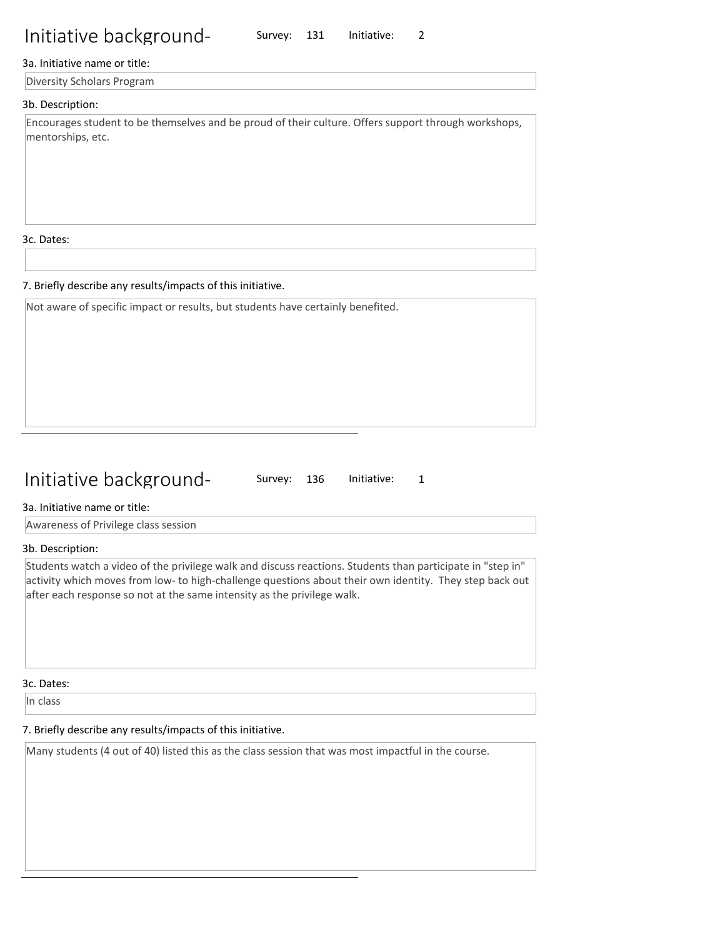#### 3a. Initiative name or title:

Diversity Scholars Program

#### 3b. Description:

Encourages student to be themselves and be proud of their culture. Offers support through workshops, mentorships, etc.

Survey: 131 Initiative: 2

3c. Dates:

#### 7. Briefly describe any results/impacts of this initiative.

Not aware of specific impact or results, but students have certainly benefited.

## Initiative background-

Survey: 136 Initiative: 1

#### 3a. Initiative name or title:

Awareness of Privilege class session

#### 3b. Description:

Students watch a video of the privilege walk and discuss reactions. Students than participate in "step in" activity which moves from low- to high-challenge questions about their own identity. They step back out after each response so not at the same intensity as the privilege walk.

3c. Dates:

In class

#### 7. Briefly describe any results/impacts of this initiative.

Many students (4 out of 40) listed this as the class session that was most impactful in the course.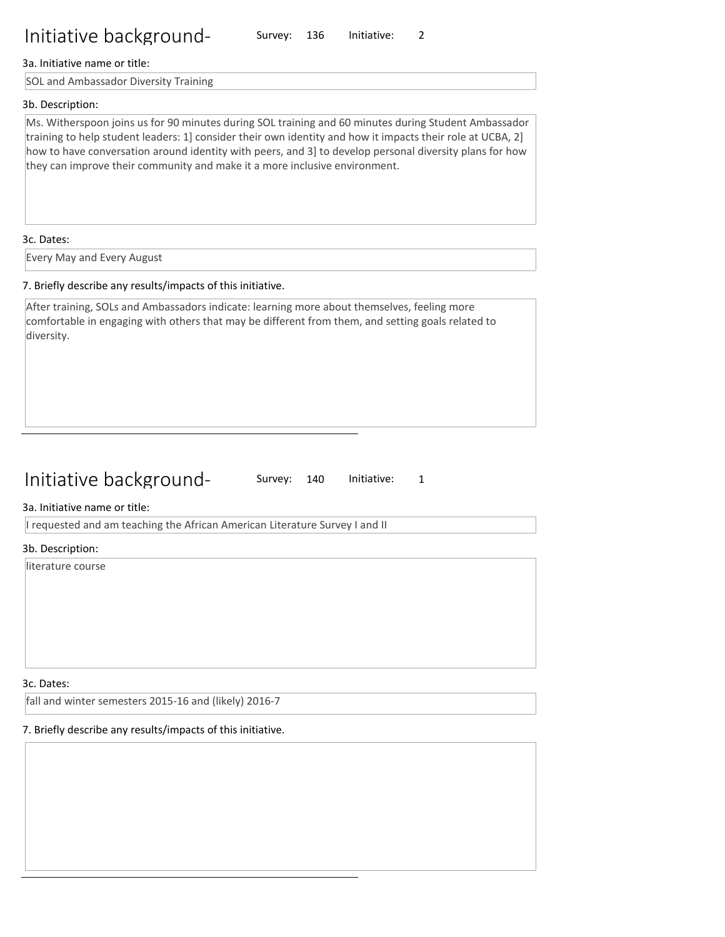### 3a. Initiative name or title:

SOL and Ambassador Diversity Training

## 3b. Description:

Ms. Witherspoon joins us for 90 minutes during SOL training and 60 minutes during Student Ambassador training to help student leaders: 1] consider their own identity and how it impacts their role at UCBA, 2] how to have conversation around identity with peers, and 3] to develop personal diversity plans for how they can improve their community and make it a more inclusive environment.

Survey: 136 Initiative: 2

#### 3c. Dates:

Every May and Every August

### 7. Briefly describe any results/impacts of this initiative.

After training, SOLs and Ambassadors indicate: learning more about themselves, feeling more comfortable in engaging with others that may be different from them, and setting goals related to diversity.

## Initiative background-

Survey: 140 Initiative: 1

### 3a. Initiative name or title:

I requested and am teaching the African American Literature Survey I and II

#### 3b. Description:

literature course

#### 3c. Dates:

fall and winter semesters 2015-16 and (likely) 2016-7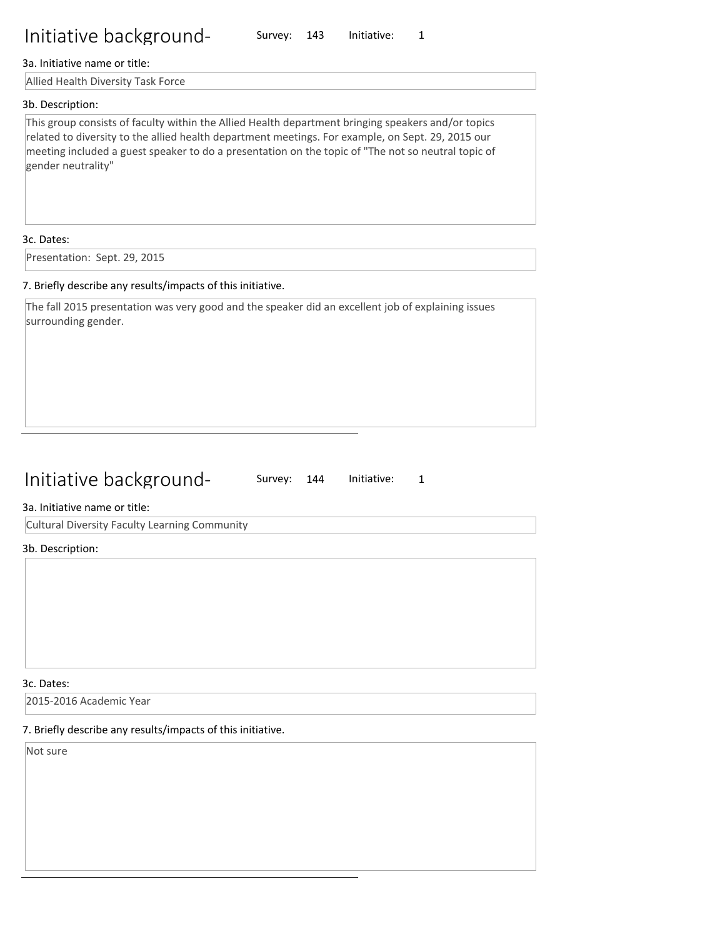#### 3a. Initiative name or title:

Allied Health Diversity Task Force

#### 3b. Description:

This group consists of faculty within the Allied Health department bringing speakers and/or topics related to diversity to the allied health department meetings. For example, on Sept. 29, 2015 our meeting included a guest speaker to do a presentation on the topic of "The not so neutral topic of gender neutrality"

Survey: 143 Initiative: 1

#### 3c. Dates:

Presentation: Sept. 29, 2015

#### 7. Briefly describe any results/impacts of this initiative.

The fall 2015 presentation was very good and the speaker did an excellent job of explaining issues surrounding gender.

## Initiative background-

Survey: 144 Initiative: 1

#### 3a. Initiative name or title:

Cultural Diversity Faculty Learning Community

#### 3b. Description:

3c. Dates:

2015-2016 Academic Year

## 7. Briefly describe any results/impacts of this initiative.

Not sure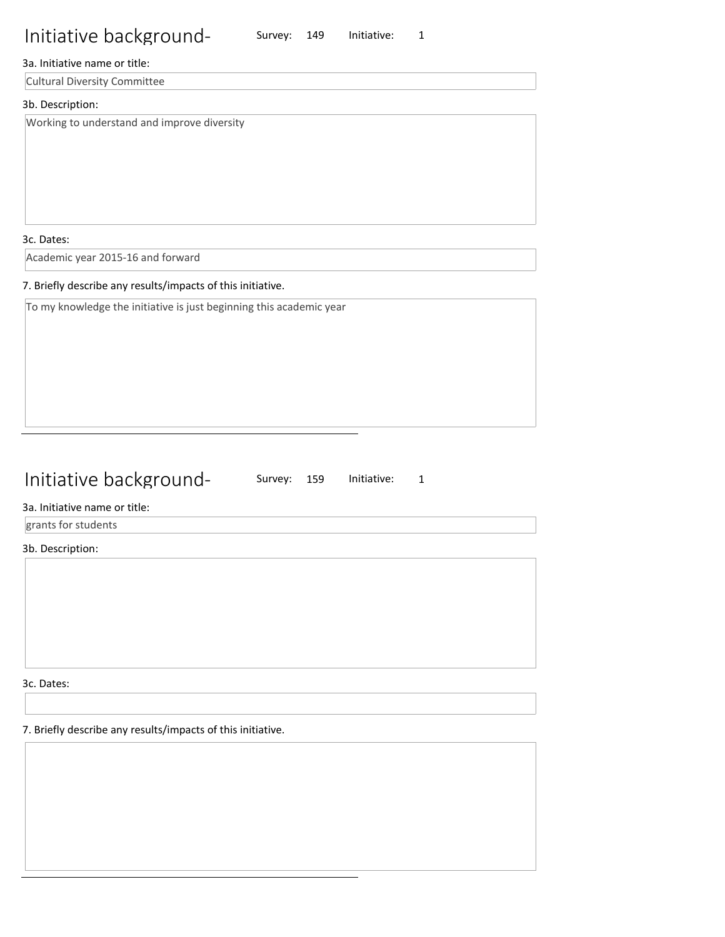Survey: 149 Initiative: 1

## 3a. Initiative name or title:

Cultural Diversity Committee

## 3b. Description:

Working to understand and improve diversity

3c. Dates:

Academic year 2015-16 and forward

## 7. Briefly describe any results/impacts of this initiative.

To my knowledge the initiative is just beginning this academic year

## Initiative background-

Survey: 159 Initiative: 1

## 3a. Initiative name or title:

grants for students

## 3b. Description:

3c. Dates: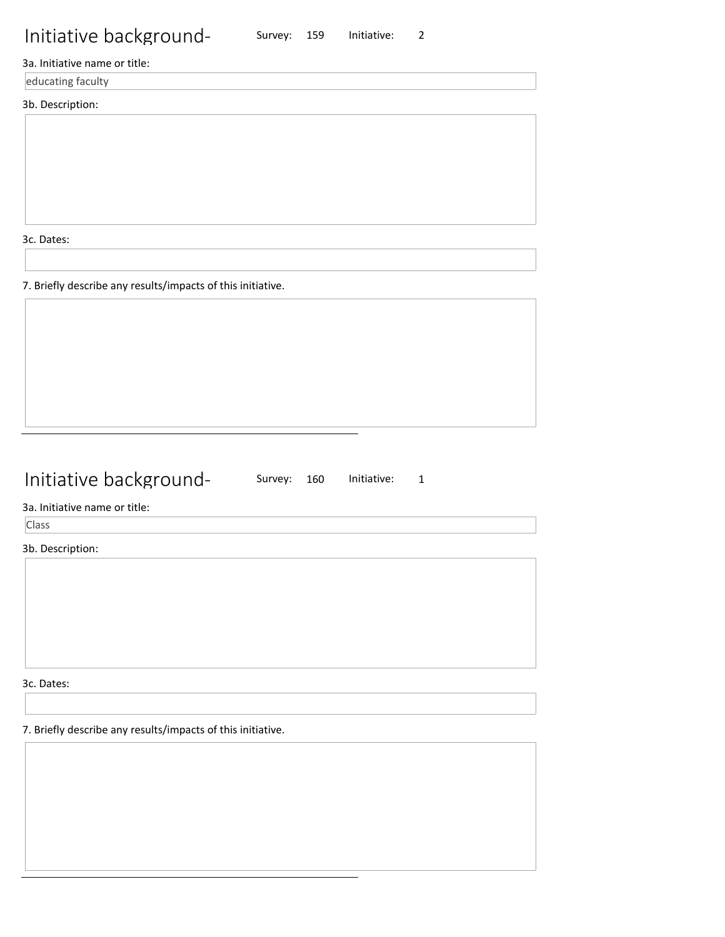3a. Initiative name or title:

educating faculty

3b. Description:

3c. Dates:

7. Briefly describe any results/impacts of this initiative.

## Initiative background-

Survey: 160 Initiative: 1

Survey: 159 Initiative: 2

3a. Initiative name or title:

Class

3b. Description:

3c. Dates: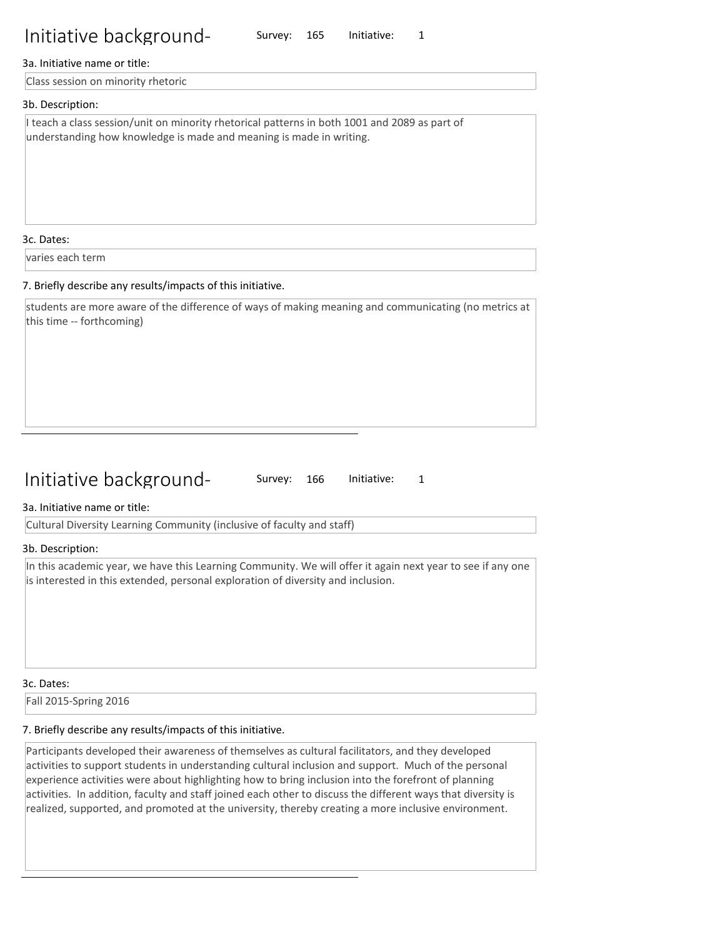#### 3a. Initiative name or title:

Class session on minority rhetoric

#### 3b. Description:

I teach a class session/unit on minority rhetorical patterns in both 1001 and 2089 as part of understanding how knowledge is made and meaning is made in writing.

3c. Dates:

varies each term

#### 7. Briefly describe any results/impacts of this initiative.

students are more aware of the difference of ways of making meaning and communicating (no metrics at this time -- forthcoming)

## Initiative background-

Survey: 166 Initiative: 1

Survey: 165 Initiative: 1

3a. Initiative name or title:

Cultural Diversity Learning Community (inclusive of faculty and staff)

#### 3b. Description:

In this academic year, we have this Learning Community. We will offer it again next year to see if any one is interested in this extended, personal exploration of diversity and inclusion.

3c. Dates:

Fall 2015-Spring 2016

## 7. Briefly describe any results/impacts of this initiative.

Participants developed their awareness of themselves as cultural facilitators, and they developed activities to support students in understanding cultural inclusion and support. Much of the personal experience activities were about highlighting how to bring inclusion into the forefront of planning activities. In addition, faculty and staff joined each other to discuss the different ways that diversity is realized, supported, and promoted at the university, thereby creating a more inclusive environment.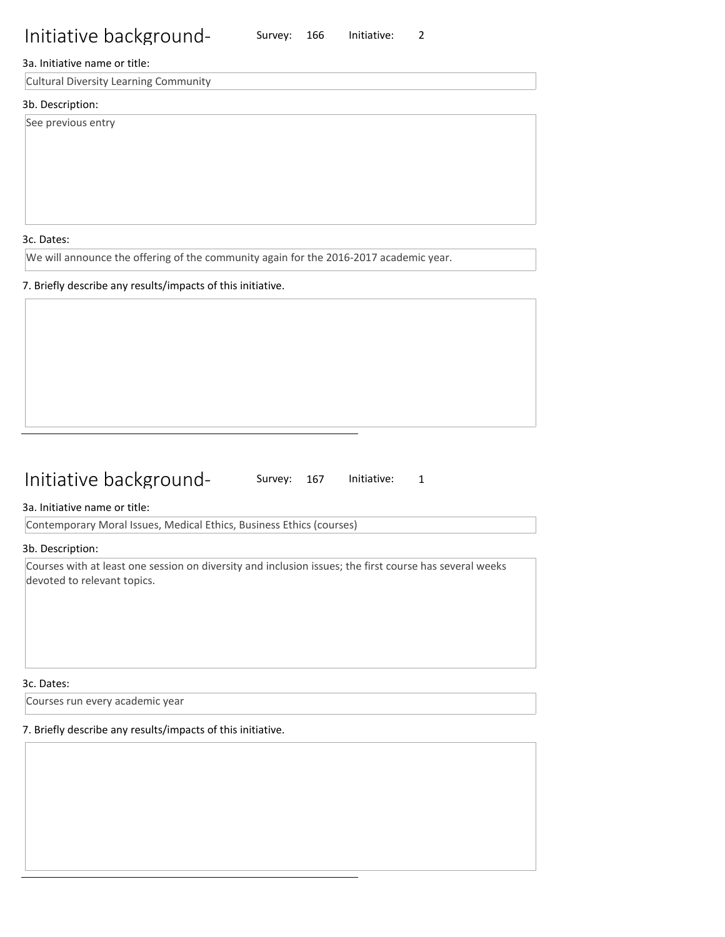Survey: 166 Initiative: 2

### 3a. Initiative name or title:

Cultural Diversity Learning Community

### 3b. Description:

See previous entry

3c. Dates:

We will announce the offering of the community again for the 2016-2017 academic year.

### 7. Briefly describe any results/impacts of this initiative.

## Initiative background-

Survey: 167 Initiative: 1

3a. Initiative name or title:

Contemporary Moral Issues, Medical Ethics, Business Ethics (courses)

3b. Description:

Courses with at least one session on diversity and inclusion issues; the first course has several weeks devoted to relevant topics.

#### 3c. Dates:

Courses run every academic year